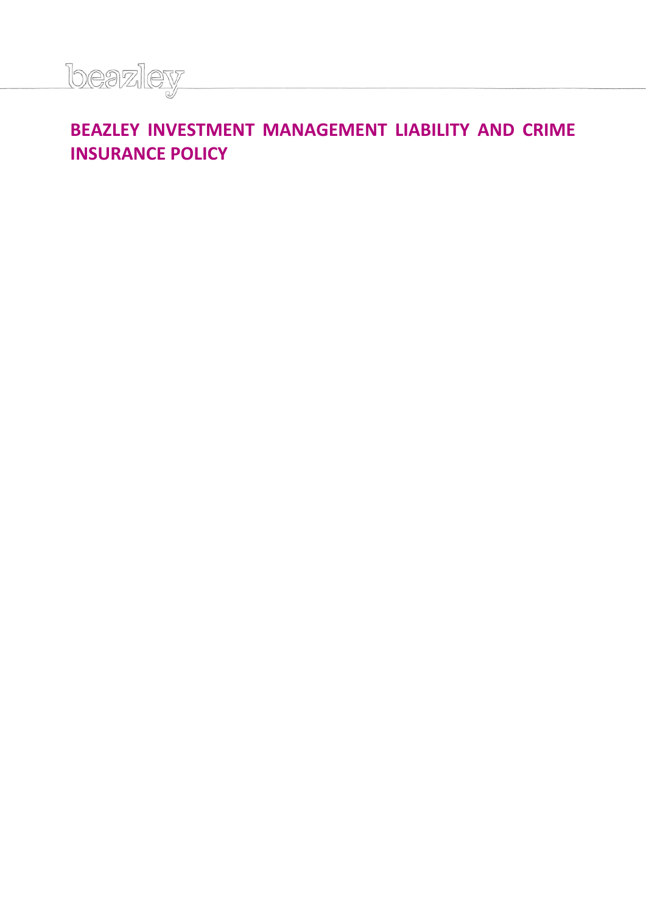

# **BEAZLEY INVESTMENT MANAGEMENT LIABILITY AND CRIME INSURANCE POLICY**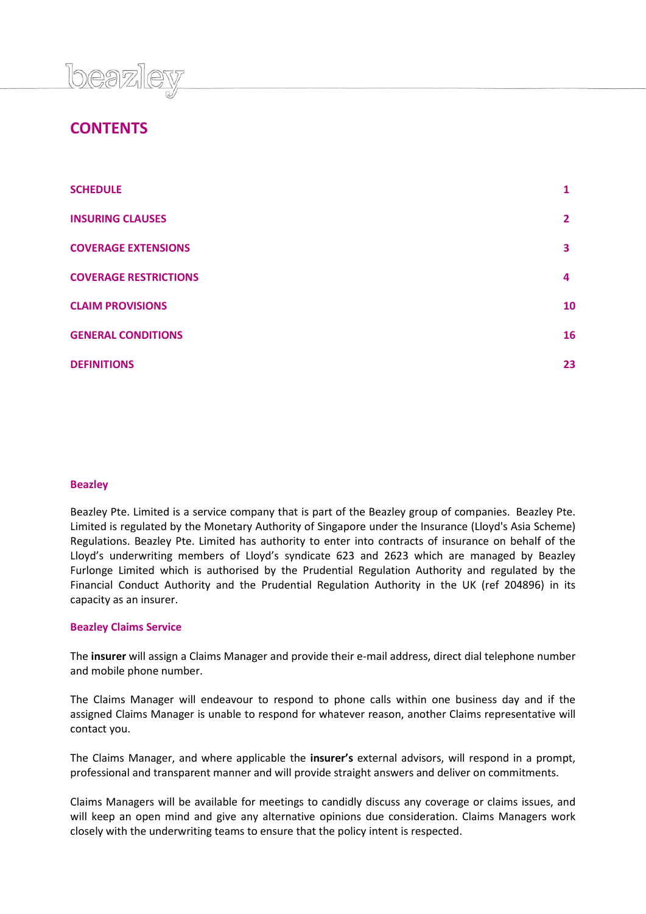

# **CONTENTS**

| <b>SCHEDULE</b>              |                |
|------------------------------|----------------|
| <b>INSURING CLAUSES</b>      | $\overline{2}$ |
| <b>COVERAGE EXTENSIONS</b>   | 3              |
| <b>COVERAGE RESTRICTIONS</b> | 4              |
| <b>CLAIM PROVISIONS</b>      | 10             |
| <b>GENERAL CONDITIONS</b>    | 16             |
| <b>DEFINITIONS</b>           | 23             |

# **Beazley**

Beazley Pte. Limited is a service company that is part of the Beazley group of companies. Beazley Pte. Limited is regulated by the Monetary Authority of Singapore under the Insurance (Lloyd's Asia Scheme) Regulations. Beazley Pte. Limited has authority to enter into contracts of insurance on behalf of the Lloyd's underwriting members of Lloyd's syndicate 623 and 2623 which are managed by Beazley Furlonge Limited which is authorised by the Prudential Regulation Authority and regulated by the Financial Conduct Authority and the Prudential Regulation Authority in the UK (ref 204896) in its capacity as an insurer.

# **Beazley Claims Service**

The **insurer** will assign a Claims Manager and provide their e-mail address, direct dial telephone number and mobile phone number.

The Claims Manager will endeavour to respond to phone calls within one business day and if the assigned Claims Manager is unable to respond for whatever reason, another Claims representative will contact you.

The Claims Manager, and where applicable the **insurer's** external advisors, will respond in a prompt, professional and transparent manner and will provide straight answers and deliver on commitments.

Claims Managers will be available for meetings to candidly discuss any coverage or claims issues, and will keep an open mind and give any alternative opinions due consideration. Claims Managers work closely with the underwriting teams to ensure that the policy intent is respected.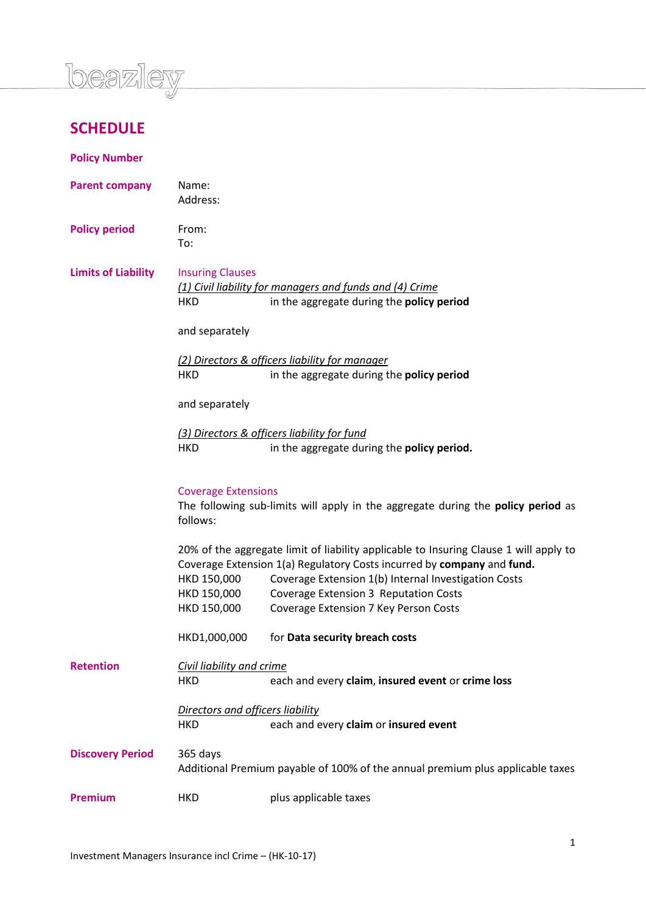

# **SCHEDULE**

**Policy Number**

| <b>Parent company</b>      | Name:<br>Address:                                                                                                          |                                                                                                                                                                                                                                                                                                           |  |
|----------------------------|----------------------------------------------------------------------------------------------------------------------------|-----------------------------------------------------------------------------------------------------------------------------------------------------------------------------------------------------------------------------------------------------------------------------------------------------------|--|
| <b>Policy period</b>       | From:<br>To:                                                                                                               |                                                                                                                                                                                                                                                                                                           |  |
| <b>Limits of Liability</b> | <b>Insuring Clauses</b><br><b>HKD</b>                                                                                      | (1) Civil liability for managers and funds and (4) Crime<br>in the aggregate during the policy period                                                                                                                                                                                                     |  |
|                            | and separately                                                                                                             |                                                                                                                                                                                                                                                                                                           |  |
|                            | <b>HKD</b>                                                                                                                 | (2) Directors & officers liability for manager<br>in the aggregate during the policy period                                                                                                                                                                                                               |  |
|                            | and separately                                                                                                             |                                                                                                                                                                                                                                                                                                           |  |
|                            | <b>HKD</b>                                                                                                                 | (3) Directors & officers liability for fund<br>in the aggregate during the policy period.                                                                                                                                                                                                                 |  |
|                            | <b>Coverage Extensions</b><br>The following sub-limits will apply in the aggregate during the policy period as<br>follows: |                                                                                                                                                                                                                                                                                                           |  |
|                            | HKD 150,000<br>HKD 150,000<br>HKD 150,000                                                                                  | 20% of the aggregate limit of liability applicable to Insuring Clause 1 will apply to<br>Coverage Extension 1(a) Regulatory Costs incurred by company and fund.<br>Coverage Extension 1(b) Internal Investigation Costs<br>Coverage Extension 3 Reputation Costs<br>Coverage Extension 7 Key Person Costs |  |
|                            | HKD1,000,000                                                                                                               | for Data security breach costs                                                                                                                                                                                                                                                                            |  |
| <b>Retention</b>           | Civil liability and crime<br>HKD                                                                                           | each and every claim, insured event or crime loss                                                                                                                                                                                                                                                         |  |
|                            | Directors and officers liability                                                                                           |                                                                                                                                                                                                                                                                                                           |  |
|                            | <b>HKD</b>                                                                                                                 | each and every claim or insured event                                                                                                                                                                                                                                                                     |  |
| <b>Discovery Period</b>    | 365 days<br>Additional Premium payable of 100% of the annual premium plus applicable taxes                                 |                                                                                                                                                                                                                                                                                                           |  |
| <b>Premium</b>             | <b>HKD</b>                                                                                                                 | plus applicable taxes                                                                                                                                                                                                                                                                                     |  |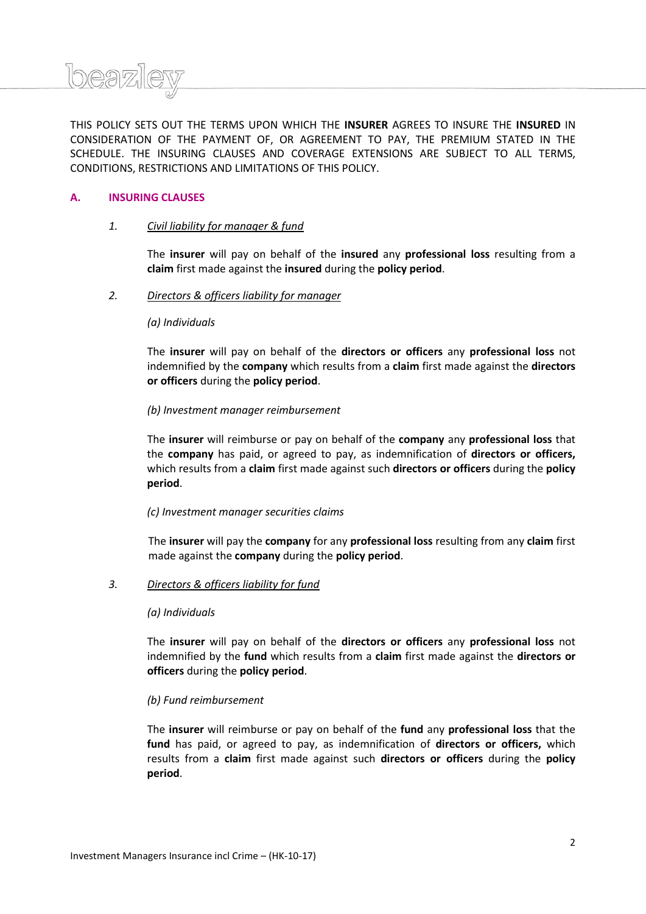

# **A. INSURING CLAUSES**

Ineazi

### *1. Civil liability for manager & fund*

The **insurer** will pay on behalf of the **insured** any **professional loss** resulting from a **claim** first made against the **insured** during the **policy period**.

#### *2. Directors & officers liability for manager*

#### *(a) Individuals*

The **insurer** will pay on behalf of the **directors or officers** any **professional loss** not indemnified by the **company** which results from a **claim** first made against the **directors or officers** during the **policy period**.

#### *(b) Investment manager reimbursement*

The **insurer** will reimburse or pay on behalf of the **company** any **professional loss** that the **company** has paid, or agreed to pay, as indemnification of **directors or officers,** which results from a **claim** first made against such **directors or officers** during the **policy period**.

# *(c) Investment manager securities claims*

The **insurer** will pay the **company** for any **professional loss** resulting from any **claim** first made against the **company** during the **policy period**.

# *3. Directors & officers liability for fund*

#### *(a) Individuals*

The **insurer** will pay on behalf of the **directors or officers** any **professional loss** not indemnified by the **fund** which results from a **claim** first made against the **directors or officers** during the **policy period**.

# *(b) Fund reimbursement*

The **insurer** will reimburse or pay on behalf of the **fund** any **professional loss** that the **fund** has paid, or agreed to pay, as indemnification of **directors or officers,** which results from a **claim** first made against such **directors or officers** during the **policy period**.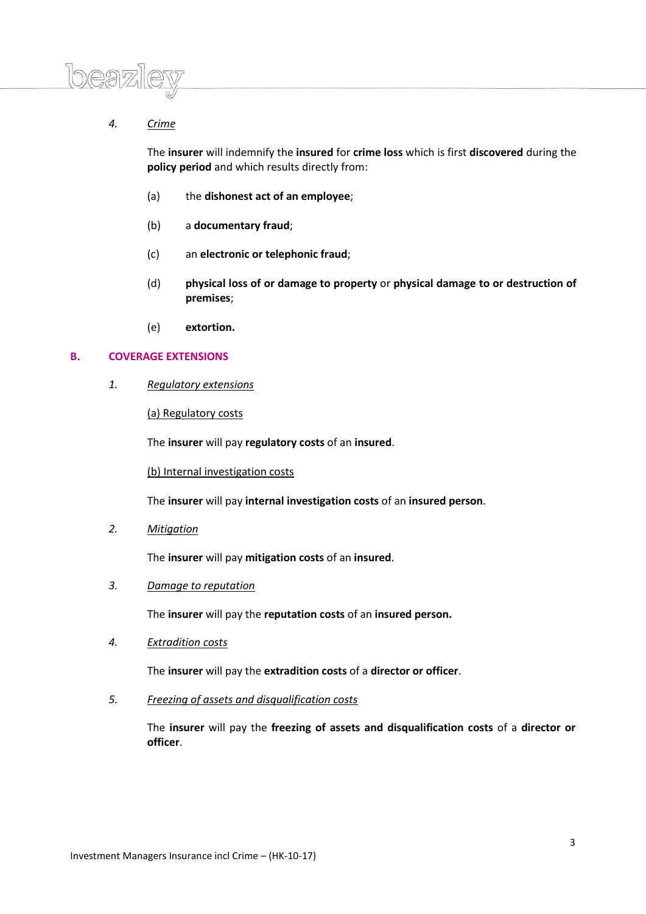

# *4. Crime*

The **insurer** will indemnify the **insured** for **crime loss** which is first **discovered** during the **policy period** and which results directly from:

- (a) the **dishonest act of an employee**;
- (b) a **documentary fraud**;
- (c) an **electronic or telephonic fraud**;
- (d) **physical loss of or damage to property** or **physical damage to or destruction of premises**;
- (e) **extortion.**

# **B. COVERAGE EXTENSIONS**

*1. Regulatory extensions*

(a) Regulatory costs

The **insurer** will pay **regulatory costs** of an **insured**.

(b) Internal investigation costs

The **insurer** will pay **internal investigation costs** of an **insured person**.

*2. Mitigation*

The **insurer** will pay **mitigation costs** of an **insured**.

*3. Damage to reputation* 

The **insurer** will pay the **reputation costs** of an **insured person.**

*4. Extradition costs*

The **insurer** will pay the **extradition costs** of a **director or officer**.

*5. Freezing of assets and disqualification costs*

The **insurer** will pay the **freezing of assets and disqualification costs** of a **director or officer**.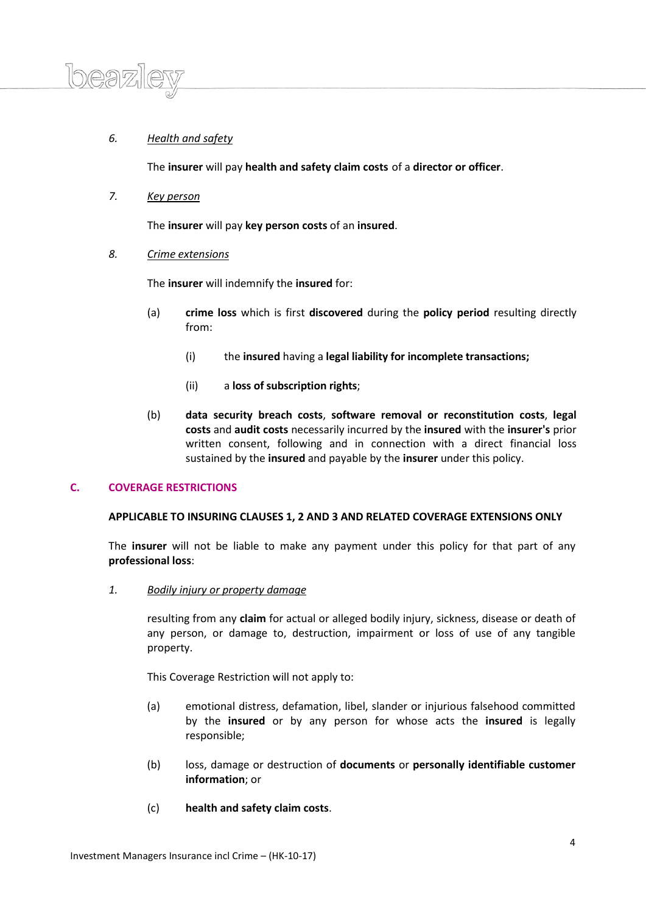# *6. Health and safety*

The **insurer** will pay **health and safety claim costs** of a **director or officer**.

*7. Key person*

 $D \mathfrak{D} \overline{W}$ 

The **insurer** will pay **key person costs** of an **insured**.

*8. Crime extensions*

The **insurer** will indemnify the **insured** for:

- (a) **crime loss** which is first **discovered** during the **policy period** resulting directly from:
	- (i) the **insured** having a **legal liability for incomplete transactions;**
	- (ii) a **loss of subscription rights**;
- (b) **data security breach costs**, **software removal or reconstitution costs**, **legal costs** and **audit costs** necessarily incurred by the **insured** with the **insurer's** prior written consent, following and in connection with a direct financial loss sustained by the **insured** and payable by the **insurer** under this policy.

# **C. COVERAGE RESTRICTIONS**

# **APPLICABLE TO INSURING CLAUSES 1, 2 AND 3 AND RELATED COVERAGE EXTENSIONS ONLY**

The **insurer** will not be liable to make any payment under this policy for that part of any **professional loss**:

*1. Bodily injury or property damage*

resulting from any **claim** for actual or alleged bodily injury, sickness, disease or death of any person, or damage to, destruction, impairment or loss of use of any tangible property.

This Coverage Restriction will not apply to:

- (a) emotional distress, defamation, libel, slander or injurious falsehood committed by the **insured** or by any person for whose acts the **insured** is legally responsible;
- (b) loss, damage or destruction of **documents** or **personally identifiable customer information**; or
- (c) **health and safety claim costs**.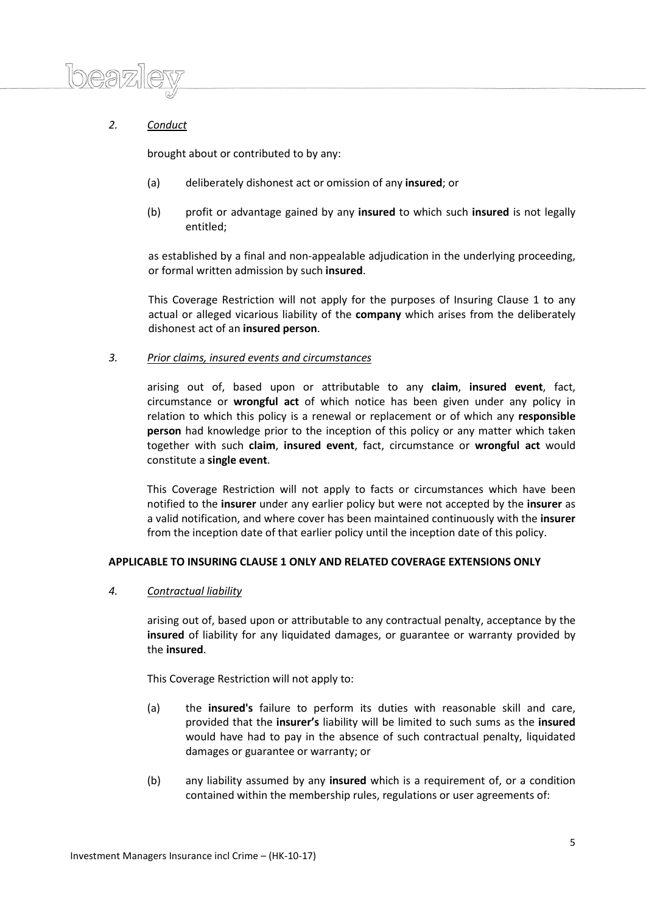

# *2. Conduct*

brought about or contributed to by any:

- (a) deliberately dishonest act or omission of any **insured**; or
- (b) profit or advantage gained by any **insured** to which such **insured** is not legally entitled;

as established by a final and non-appealable adjudication in the underlying proceeding, or formal written admission by such **insured**.

This Coverage Restriction will not apply for the purposes of Insuring Clause 1 to any actual or alleged vicarious liability of the **company** which arises from the deliberately dishonest act of an **insured person**.

# *3. Prior claims, insured events and circumstances*

arising out of, based upon or attributable to any **claim**, **insured event**, fact, circumstance or **wrongful act** of which notice has been given under any policy in relation to which this policy is a renewal or replacement or of which any **responsible person** had knowledge prior to the inception of this policy or any matter which taken together with such **claim**, **insured event**, fact, circumstance or **wrongful act** would constitute a **single event**.

This Coverage Restriction will not apply to facts or circumstances which have been notified to the **insurer** under any earlier policy but were not accepted by the **insurer** as a valid notification, and where cover has been maintained continuously with the **insurer** from the inception date of that earlier policy until the inception date of this policy.

# **APPLICABLE TO INSURING CLAUSE 1 ONLY AND RELATED COVERAGE EXTENSIONS ONLY**

# *4. Contractual liability*

arising out of, based upon or attributable to any contractual penalty, acceptance by the **insured** of liability for any liquidated damages, or guarantee or warranty provided by the **insured**.

This Coverage Restriction will not apply to:

- (a) the **insured's** failure to perform its duties with reasonable skill and care, provided that the **insurer's** liability will be limited to such sums as the **insured** would have had to pay in the absence of such contractual penalty, liquidated damages or guarantee or warranty; or
- (b) any liability assumed by any **insured** which is a requirement of, or a condition contained within the membership rules, regulations or user agreements of: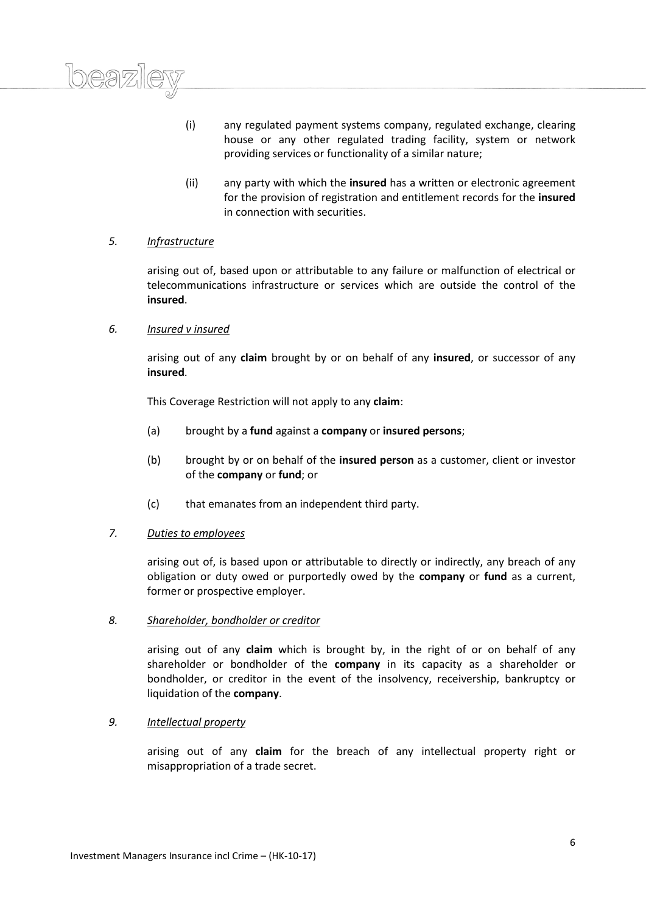

(ii) any party with which the **insured** has a written or electronic agreement for the provision of registration and entitlement records for the **insured** in connection with securities.

# *5. Infrastructure*

arising out of, based upon or attributable to any failure or malfunction of electrical or telecommunications infrastructure or services which are outside the control of the **insured**.

# *6. Insured v insured*

arising out of any **claim** brought by or on behalf of any **insured**, or successor of any **insured**.

This Coverage Restriction will not apply to any **claim**:

- (a) brought by a **fund** against a **company** or **insured persons**;
- (b) brought by or on behalf of the **insured person** as a customer, client or investor of the **company** or **fund**; or
- (c) that emanates from an independent third party.

# *7. Duties to employees*

arising out of, is based upon or attributable to directly or indirectly, any breach of any obligation or duty owed or purportedly owed by the **company** or **fund** as a current, former or prospective employer.

# *8. Shareholder, bondholder or creditor*

arising out of any **claim** which is brought by, in the right of or on behalf of any shareholder or bondholder of the **company** in its capacity as a shareholder or bondholder, or creditor in the event of the insolvency, receivership, bankruptcy or liquidation of the **company**.

# *9. Intellectual property*

arising out of any **claim** for the breach of any intellectual property right or misappropriation of a trade secret.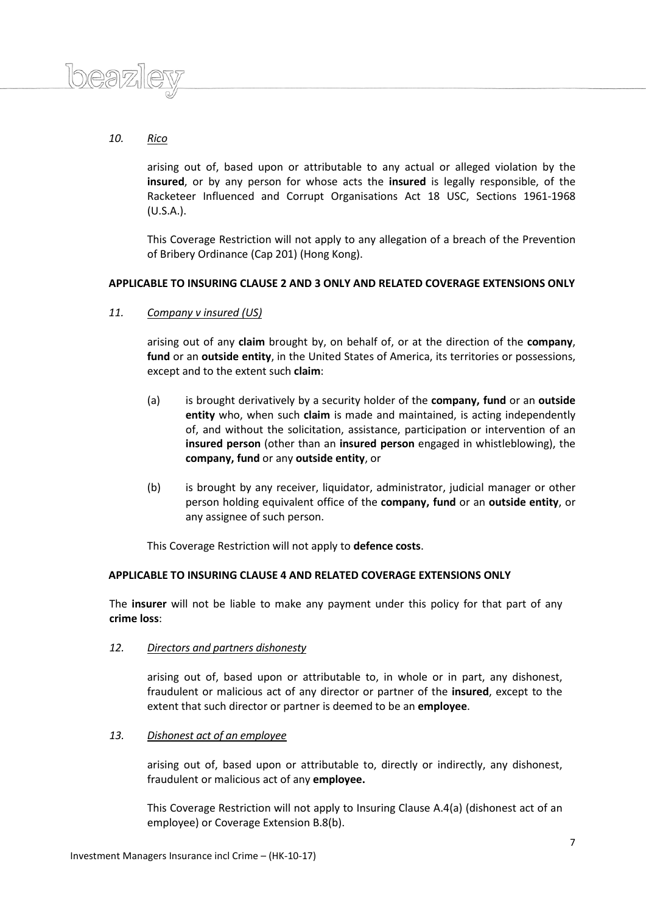

# *10. Rico*

arising out of, based upon or attributable to any actual or alleged violation by the **insured**, or by any person for whose acts the **insured** is legally responsible, of the Racketeer Influenced and Corrupt Organisations Act 18 USC, Sections 1961-1968 (U.S.A.).

This Coverage Restriction will not apply to any allegation of a breach of the Prevention of Bribery Ordinance (Cap 201) (Hong Kong).

# **APPLICABLE TO INSURING CLAUSE 2 AND 3 ONLY AND RELATED COVERAGE EXTENSIONS ONLY**

# *11. Company v insured (US)*

arising out of any **claim** brought by, on behalf of, or at the direction of the **company**, **fund** or an **outside entity**, in the United States of America, its territories or possessions, except and to the extent such **claim**:

- (a) is brought derivatively by a security holder of the **company, fund** or an **outside entity** who, when such **claim** is made and maintained, is acting independently of, and without the solicitation, assistance, participation or intervention of an **insured person** (other than an **insured person** engaged in whistleblowing), the **company, fund** or any **outside entity**, or
- (b) is brought by any receiver, liquidator, administrator, judicial manager or other person holding equivalent office of the **company, fund** or an **outside entity**, or any assignee of such person.

This Coverage Restriction will not apply to **defence costs**.

# **APPLICABLE TO INSURING CLAUSE 4 AND RELATED COVERAGE EXTENSIONS ONLY**

The **insurer** will not be liable to make any payment under this policy for that part of any **crime loss**:

*12. Directors and partners dishonesty*

arising out of, based upon or attributable to, in whole or in part, any dishonest, fraudulent or malicious act of any director or partner of the **insured**, except to the extent that such director or partner is deemed to be an **employee**.

*13. Dishonest act of an employee*

arising out of, based upon or attributable to, directly or indirectly, any dishonest, fraudulent or malicious act of any **employee.**

This Coverage Restriction will not apply to Insuring Clause A.4(a) (dishonest act of an employee) or Coverage Extension B.8(b).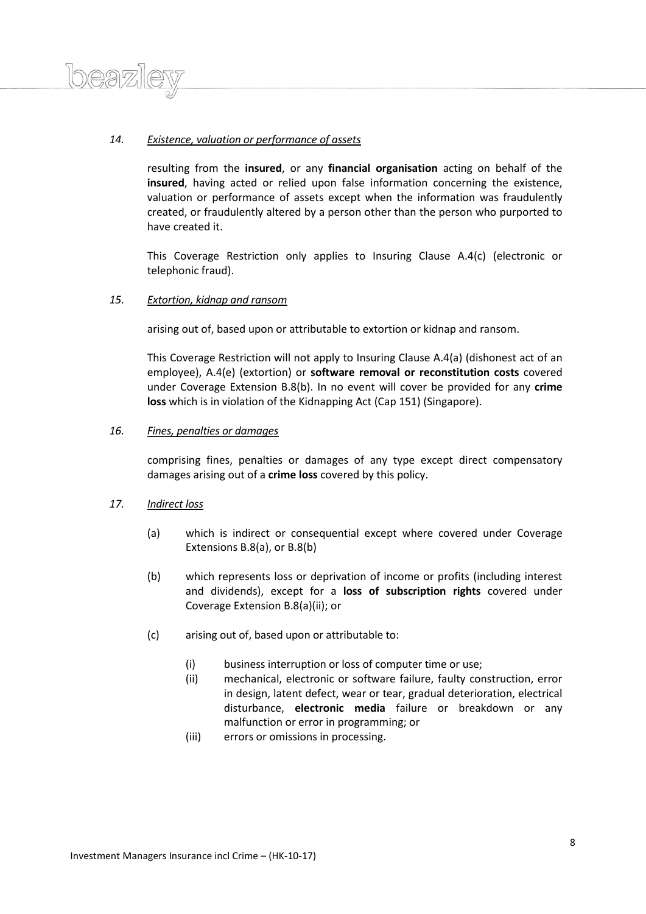# *14. Existence, valuation or performance of assets*

resulting from the **insured**, or any **financial organisation** acting on behalf of the **insured**, having acted or relied upon false information concerning the existence, valuation or performance of assets except when the information was fraudulently created, or fraudulently altered by a person other than the person who purported to have created it.

This Coverage Restriction only applies to Insuring Clause A.4(c) (electronic or telephonic fraud).

# *15. Extortion, kidnap and ransom*

arising out of, based upon or attributable to extortion or kidnap and ransom.

This Coverage Restriction will not apply to Insuring Clause A.4(a) (dishonest act of an employee), A.4(e) (extortion) or **software removal or reconstitution costs** covered under Coverage Extension B.8(b). In no event will cover be provided for any **crime loss** which is in violation of the Kidnapping Act (Cap 151) (Singapore).

# *16. Fines, penalties or damages*

comprising fines, penalties or damages of any type except direct compensatory damages arising out of a **crime loss** covered by this policy.

# *17. Indirect loss*

 $l$ 

- (a) which is indirect or consequential except where covered under Coverage Extensions B.8(a), or B.8(b)
- (b) which represents loss or deprivation of income or profits (including interest and dividends), except for a **loss of subscription rights** covered under Coverage Extension B.8(a)(ii); or
- (c) arising out of, based upon or attributable to:
	- (i) business interruption or loss of computer time or use;
	- (ii) mechanical, electronic or software failure, faulty construction, error in design, latent defect, wear or tear, gradual deterioration, electrical disturbance, **electronic media** failure or breakdown or any malfunction or error in programming; or
	- (iii) errors or omissions in processing.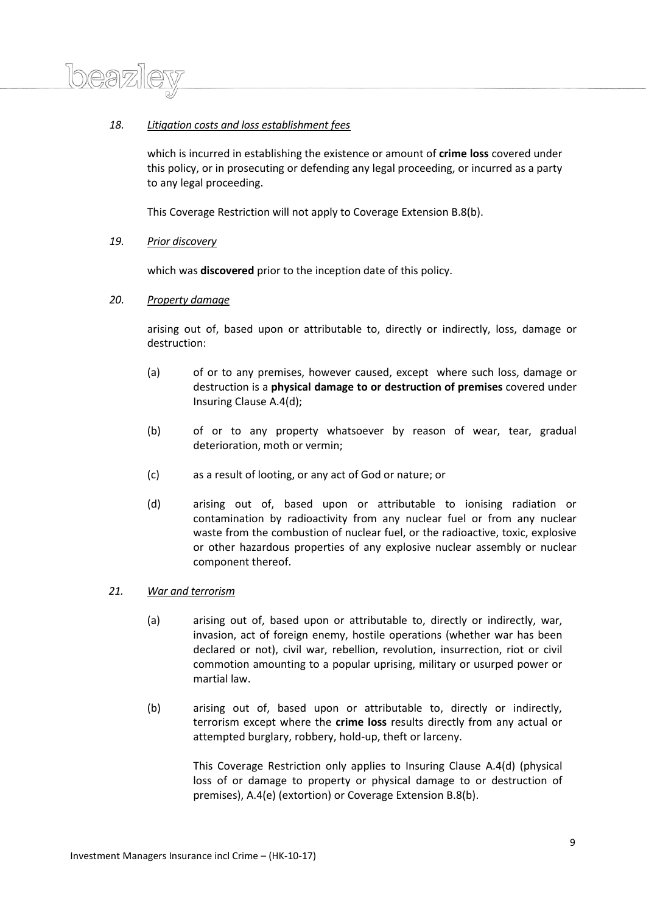# *18. Litigation costs and loss establishment fees*

which is incurred in establishing the existence or amount of **crime loss** covered under this policy, or in prosecuting or defending any legal proceeding, or incurred as a party to any legal proceeding.

This Coverage Restriction will not apply to Coverage Extension B.8(b).

# *19. Prior discovery*

Ineazi

which was **discovered** prior to the inception date of this policy.

### *20. Property damage*

arising out of, based upon or attributable to, directly or indirectly, loss, damage or destruction:

- (a) of or to any premises, however caused, except where such loss, damage or destruction is a **physical damage to or destruction of premises** covered under Insuring Clause A.4(d);
- (b) of or to any property whatsoever by reason of wear, tear, gradual deterioration, moth or vermin;
- (c) as a result of looting, or any act of God or nature; or
- (d) arising out of, based upon or attributable to ionising radiation or contamination by radioactivity from any nuclear fuel or from any nuclear waste from the combustion of nuclear fuel, or the radioactive, toxic, explosive or other hazardous properties of any explosive nuclear assembly or nuclear component thereof.

## *21. War and terrorism*

- (a) arising out of, based upon or attributable to, directly or indirectly, war, invasion, act of foreign enemy, hostile operations (whether war has been declared or not), civil war, rebellion, revolution, insurrection, riot or civil commotion amounting to a popular uprising, military or usurped power or martial law.
- (b) arising out of, based upon or attributable to, directly or indirectly, terrorism except where the **crime loss** results directly from any actual or attempted burglary, robbery, hold-up, theft or larceny.

This Coverage Restriction only applies to Insuring Clause A.4(d) (physical loss of or damage to property or physical damage to or destruction of premises), A.4(e) (extortion) or Coverage Extension B.8(b).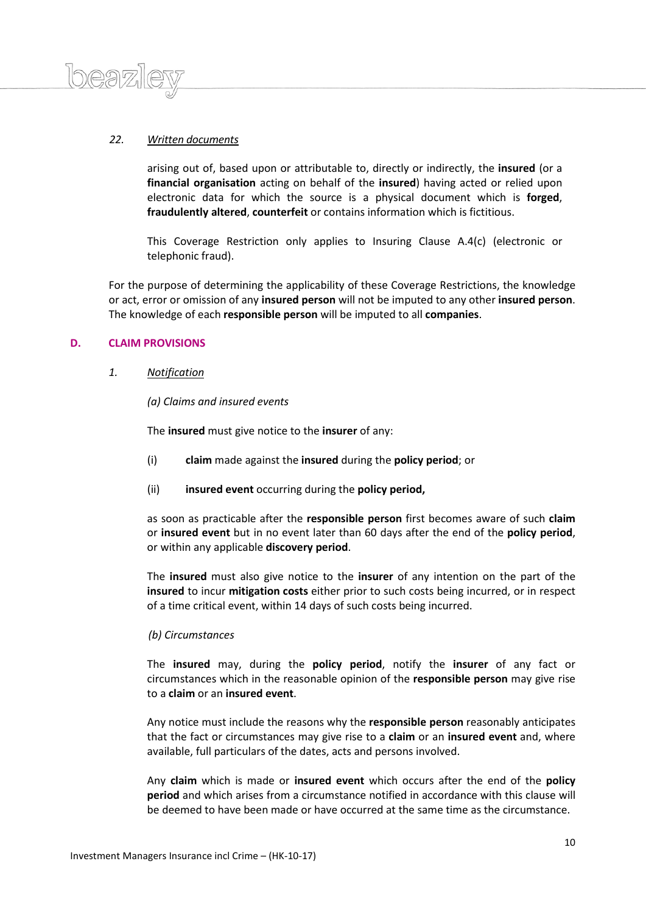# *22. Written documents*

 $\log 2$ 

arising out of, based upon or attributable to, directly or indirectly, the **insured** (or a **financial organisation** acting on behalf of the **insured**) having acted or relied upon electronic data for which the source is a physical document which is **forged**, **fraudulently altered**, **counterfeit** or contains information which is fictitious.

This Coverage Restriction only applies to Insuring Clause A.4(c) (electronic or telephonic fraud).

For the purpose of determining the applicability of these Coverage Restrictions, the knowledge or act, error or omission of any **insured person** will not be imputed to any other **insured person**. The knowledge of each **responsible person** will be imputed to all **companies**.

# **D. CLAIM PROVISIONS**

# *1. Notification*

# *(a) Claims and insured events*

The **insured** must give notice to the **insurer** of any:

- (i) **claim** made against the **insured** during the **policy period**; or
- (ii) **insured event** occurring during the **policy period,**

as soon as practicable after the **responsible person** first becomes aware of such **claim** or **insured event** but in no event later than 60 days after the end of the **policy period**, or within any applicable **discovery period**.

The **insured** must also give notice to the **insurer** of any intention on the part of the **insured** to incur **mitigation costs** either prior to such costs being incurred, or in respect of a time critical event, within 14 days of such costs being incurred.

# *(b) Circumstances*

The **insured** may, during the **policy period**, notify the **insurer** of any fact or circumstances which in the reasonable opinion of the **responsible person** may give rise to a **claim** or an **insured event**.

Any notice must include the reasons why the **responsible person** reasonably anticipates that the fact or circumstances may give rise to a **claim** or an **insured event** and, where available, full particulars of the dates, acts and persons involved.

Any **claim** which is made or **insured event** which occurs after the end of the **policy period** and which arises from a circumstance notified in accordance with this clause will be deemed to have been made or have occurred at the same time as the circumstance.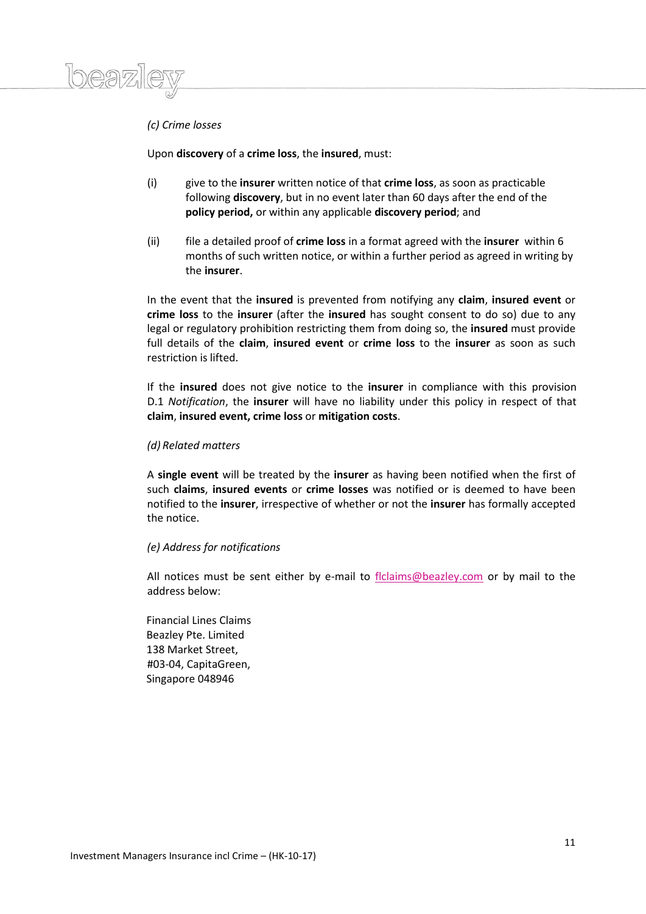# *(c) Crime losses*

 $logn)$ 

Upon **discovery** of a **crime loss**, the **insured**, must:

- (i) give to the **insurer** written notice of that **crime loss**, as soon as practicable following **discovery**, but in no event later than 60 days after the end of the **policy period,** or within any applicable **discovery period**; and
- (ii) file a detailed proof of **crime loss** in a format agreed with the **insurer** within 6 months of such written notice, or within a further period as agreed in writing by the **insurer**.

In the event that the **insured** is prevented from notifying any **claim**, **insured event** or **crime loss** to the **insurer** (after the **insured** has sought consent to do so) due to any legal or regulatory prohibition restricting them from doing so, the **insured** must provide full details of the **claim**, **insured event** or **crime loss** to the **insurer** as soon as such restriction is lifted.

If the **insured** does not give notice to the **insurer** in compliance with this provision D.1 *Notification*, the **insurer** will have no liability under this policy in respect of that **claim**, **insured event, crime loss** or **mitigation costs**.

# *(d) Related matters*

A **single event** will be treated by the **insurer** as having been notified when the first of such **claims**, **insured events** or **crime losses** was notified or is deemed to have been notified to the **insurer**, irrespective of whether or not the **insurer** has formally accepted the notice.

# *(e) Address for notifications*

All notices must be sent either by e-mail to [flclaims@beazley.com](mailto:flclaims@beazley.com) or by mail to the address below:

Financial Lines Claims Beazley Pte. Limited 138 Market Street, #03-04, CapitaGreen, Singapore 048946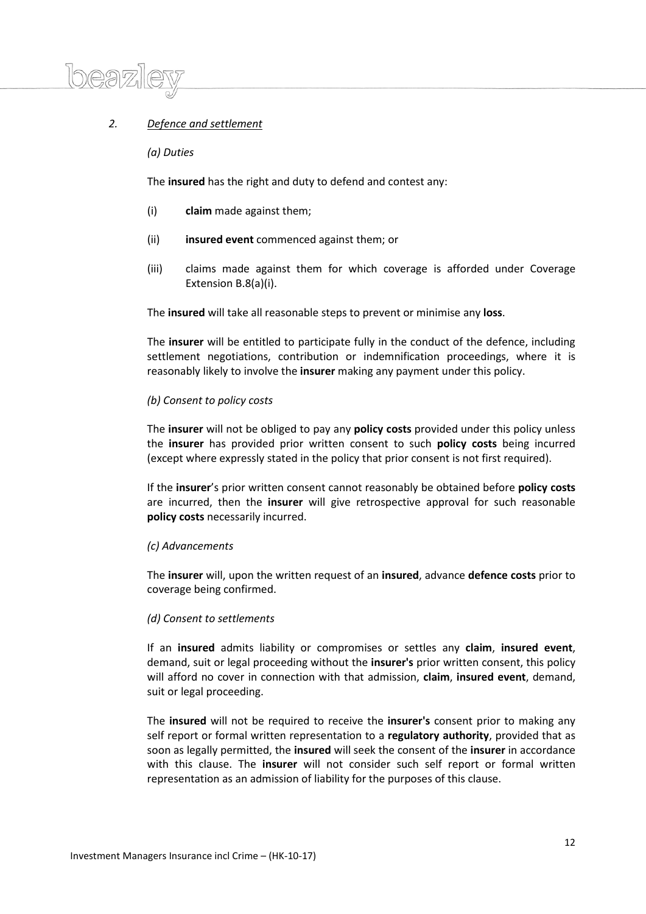# *2. Defence and settlement*

*(a) Duties*

 $\left|n\rho\right|$ 

The **insured** has the right and duty to defend and contest any:

- (i) **claim** made against them;
- (ii) **insured event** commenced against them; or
- (iii) claims made against them for which coverage is afforded under Coverage Extension B.8(a)(i).

The **insured** will take all reasonable steps to prevent or minimise any **loss**.

The **insurer** will be entitled to participate fully in the conduct of the defence, including settlement negotiations, contribution or indemnification proceedings, where it is reasonably likely to involve the **insurer** making any payment under this policy.

#### *(b) Consent to policy costs*

The **insurer** will not be obliged to pay any **policy costs** provided under this policy unless the **insurer** has provided prior written consent to such **policy costs** being incurred (except where expressly stated in the policy that prior consent is not first required).

If the **insurer**'s prior written consent cannot reasonably be obtained before **policy costs** are incurred, then the **insurer** will give retrospective approval for such reasonable **policy costs** necessarily incurred.

#### *(c) Advancements*

The **insurer** will, upon the written request of an **insured**, advance **defence costs** prior to coverage being confirmed.

#### *(d) Consent to settlements*

If an **insured** admits liability or compromises or settles any **claim**, **insured event**, demand, suit or legal proceeding without the **insurer's** prior written consent, this policy will afford no cover in connection with that admission, **claim**, **insured event**, demand, suit or legal proceeding.

The **insured** will not be required to receive the **insurer's** consent prior to making any self report or formal written representation to a **regulatory authority**, provided that as soon as legally permitted, the **insured** will seek the consent of the **insurer** in accordance with this clause. The **insurer** will not consider such self report or formal written representation as an admission of liability for the purposes of this clause.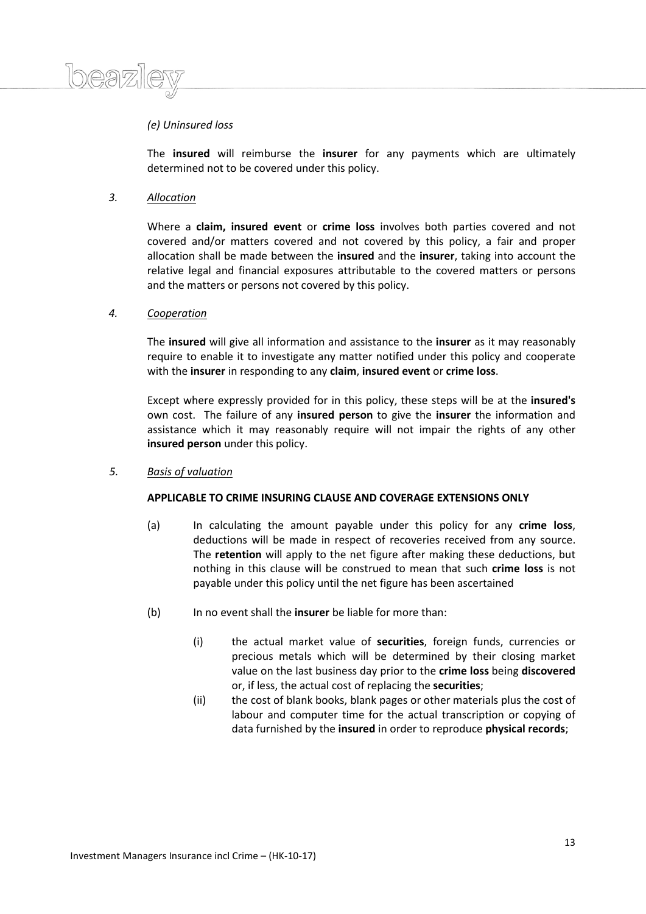# *(e) Uninsured loss*

The **insured** will reimburse the **insurer** for any payments which are ultimately determined not to be covered under this policy.

#### *3. Allocation*

Where a **claim, insured event** or **crime loss** involves both parties covered and not covered and/or matters covered and not covered by this policy, a fair and proper allocation shall be made between the **insured** and the **insurer**, taking into account the relative legal and financial exposures attributable to the covered matters or persons and the matters or persons not covered by this policy.

# *4. Cooperation*

The **insured** will give all information and assistance to the **insurer** as it may reasonably require to enable it to investigate any matter notified under this policy and cooperate with the **insurer** in responding to any **claim**, **insured event** or **crime loss**.

Except where expressly provided for in this policy, these steps will be at the **insured's** own cost. The failure of any **insured person** to give the **insurer** the information and assistance which it may reasonably require will not impair the rights of any other **insured person** under this policy.

*5. Basis of valuation*

### **APPLICABLE TO CRIME INSURING CLAUSE AND COVERAGE EXTENSIONS ONLY**

- (a) In calculating the amount payable under this policy for any **crime loss**, deductions will be made in respect of recoveries received from any source. The **retention** will apply to the net figure after making these deductions, but nothing in this clause will be construed to mean that such **crime loss** is not payable under this policy until the net figure has been ascertained
- (b) In no event shall the **insurer** be liable for more than:
	- (i) the actual market value of **securities**, foreign funds, currencies or precious metals which will be determined by their closing market value on the last business day prior to the **crime loss** being **discovered** or, if less, the actual cost of replacing the **securities**;
	- (ii) the cost of blank books, blank pages or other materials plus the cost of labour and computer time for the actual transcription or copying of data furnished by the **insured** in order to reproduce **physical records**;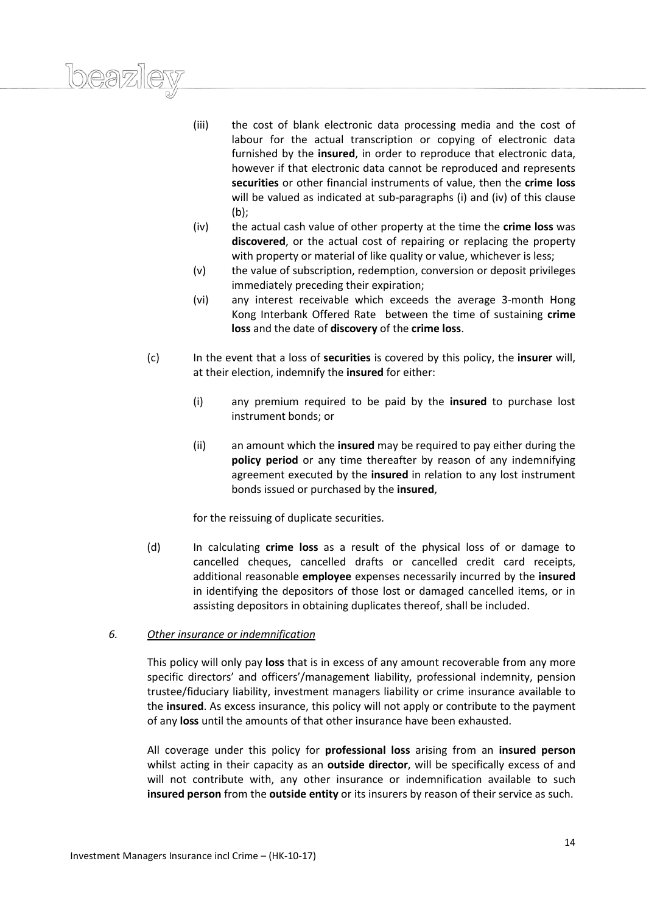- (iii) the cost of blank electronic data processing media and the cost of labour for the actual transcription or copying of electronic data furnished by the **insured**, in order to reproduce that electronic data, however if that electronic data cannot be reproduced and represents **securities** or other financial instruments of value, then the **crime loss** will be valued as indicated at sub-paragraphs (i) and (iv) of this clause (b);
- (iv) the actual cash value of other property at the time the **crime loss** was **discovered**, or the actual cost of repairing or replacing the property with property or material of like quality or value, whichever is less:
- (v) the value of subscription, redemption, conversion or deposit privileges immediately preceding their expiration;
- (vi) any interest receivable which exceeds the average 3-month Hong Kong Interbank Offered Rate between the time of sustaining **crime loss** and the date of **discovery** of the **crime loss**.
- (c) In the event that a loss of **securities** is covered by this policy, the **insurer** will, at their election, indemnify the **insured** for either:
	- (i) any premium required to be paid by the **insured** to purchase lost instrument bonds; or
	- (ii) an amount which the **insured** may be required to pay either during the **policy period** or any time thereafter by reason of any indemnifying agreement executed by the **insured** in relation to any lost instrument bonds issued or purchased by the **insured**,

for the reissuing of duplicate securities.

(d) In calculating **crime loss** as a result of the physical loss of or damage to cancelled cheques, cancelled drafts or cancelled credit card receipts, additional reasonable **employee** expenses necessarily incurred by the **insured**  in identifying the depositors of those lost or damaged cancelled items, or in assisting depositors in obtaining duplicates thereof, shall be included.

# *6. Other insurance or indemnification*

*1beazil* 

This policy will only pay **loss** that is in excess of any amount recoverable from any more specific directors' and officers'/management liability, professional indemnity, pension trustee/fiduciary liability, investment managers liability or crime insurance available to the **insured**. As excess insurance, this policy will not apply or contribute to the payment of any **loss** until the amounts of that other insurance have been exhausted.

All coverage under this policy for **professional loss** arising from an **insured person** whilst acting in their capacity as an **outside director**, will be specifically excess of and will not contribute with, any other insurance or indemnification available to such **insured person** from the **outside entity** or its insurers by reason of their service as such.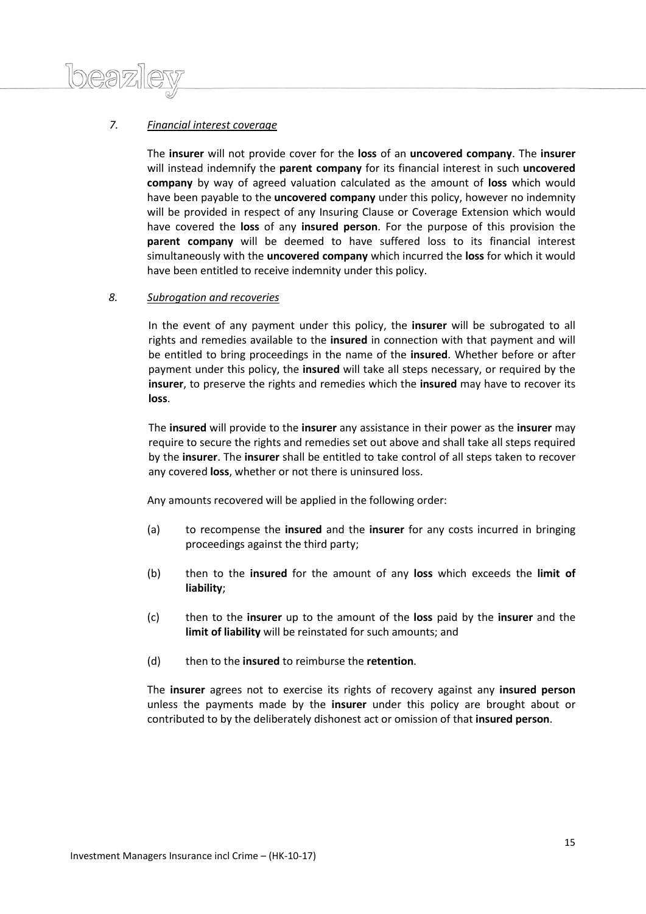# *7. Financial interest coverage*

 $\Lambda$ 

The **insurer** will not provide cover for the **loss** of an **uncovered company**. The **insurer** will instead indemnify the **parent company** for its financial interest in such **uncovered company** by way of agreed valuation calculated as the amount of **loss** which would have been payable to the **uncovered company** under this policy, however no indemnity will be provided in respect of any Insuring Clause or Coverage Extension which would have covered the **loss** of any **insured person**. For the purpose of this provision the **parent company** will be deemed to have suffered loss to its financial interest simultaneously with the **uncovered company** which incurred the **loss** for which it would have been entitled to receive indemnity under this policy.

# *8. Subrogation and recoveries*

In the event of any payment under this policy, the **insurer** will be subrogated to all rights and remedies available to the **insured** in connection with that payment and will be entitled to bring proceedings in the name of the **insured**. Whether before or after payment under this policy, the **insured** will take all steps necessary, or required by the **insurer**, to preserve the rights and remedies which the **insured** may have to recover its **loss**.

The **insured** will provide to the **insurer** any assistance in their power as the **insurer** may require to secure the rights and remedies set out above and shall take all steps required by the **insurer**. The **insurer** shall be entitled to take control of all steps taken to recover any covered **loss**, whether or not there is uninsured loss.

Any amounts recovered will be applied in the following order:

- (a) to recompense the **insured** and the **insurer** for any costs incurred in bringing proceedings against the third party;
- (b) then to the **insured** for the amount of any **loss** which exceeds the **limit of liability**;
- (c) then to the **insurer** up to the amount of the **loss** paid by the **insurer** and the **limit of liability** will be reinstated for such amounts; and
- (d) then to the **insured** to reimburse the **retention**.

The **insurer** agrees not to exercise its rights of recovery against any **insured person** unless the payments made by the **insurer** under this policy are brought about or contributed to by the deliberately dishonest act or omission of that **insured person**.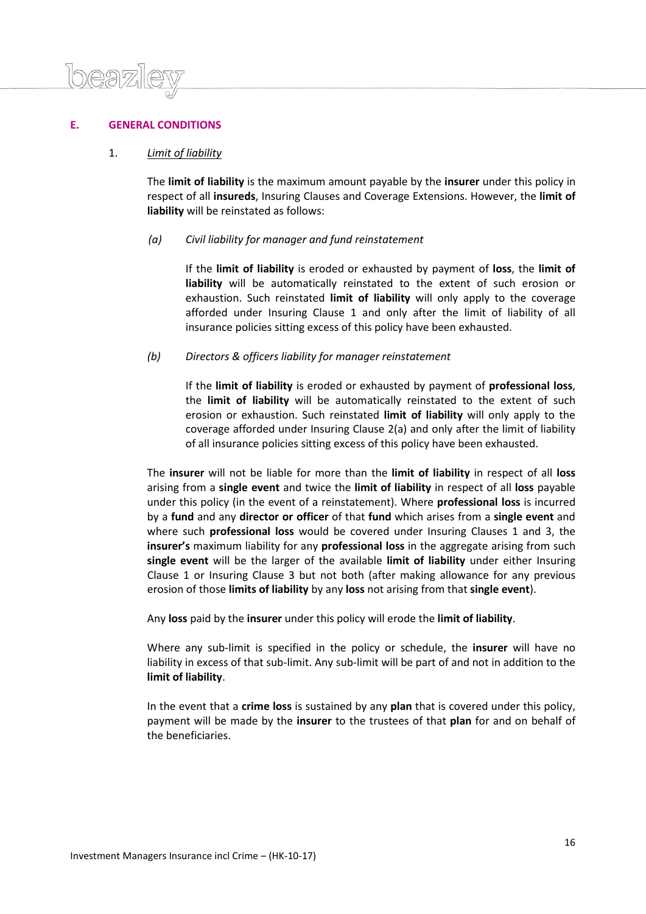# **E. GENERAL CONDITIONS**

# 1. *Limit of liability*

The **limit of liability** is the maximum amount payable by the **insurer** under this policy in respect of all **insureds**, Insuring Clauses and Coverage Extensions. However, the **limit of liability** will be reinstated as follows:

# *(a) Civil liability for manager and fund reinstatement*

If the **limit of liability** is eroded or exhausted by payment of **loss**, the **limit of liability** will be automatically reinstated to the extent of such erosion or exhaustion. Such reinstated **limit of liability** will only apply to the coverage afforded under Insuring Clause 1 and only after the limit of liability of all insurance policies sitting excess of this policy have been exhausted.

# *(b) Directors & officers liability for manager reinstatement*

If the **limit of liability** is eroded or exhausted by payment of **professional loss**, the **limit of liability** will be automatically reinstated to the extent of such erosion or exhaustion. Such reinstated **limit of liability** will only apply to the coverage afforded under Insuring Clause 2(a) and only after the limit of liability of all insurance policies sitting excess of this policy have been exhausted.

The **insurer** will not be liable for more than the **limit of liability** in respect of all **loss** arising from a **single event** and twice the **limit of liability** in respect of all **loss** payable under this policy (in the event of a reinstatement). Where **professional loss** is incurred by a **fund** and any **director or officer** of that **fund** which arises from a **single event** and where such **professional loss** would be covered under Insuring Clauses 1 and 3, the **insurer's** maximum liability for any **professional loss** in the aggregate arising from such **single event** will be the larger of the available **limit of liability** under either Insuring Clause 1 or Insuring Clause 3 but not both (after making allowance for any previous erosion of those **limits of liability** by any **loss** not arising from that **single event**).

Any **loss** paid by the **insurer** under this policy will erode the **limit of liability**.

Where any sub-limit is specified in the policy or schedule, the **insurer** will have no liability in excess of that sub-limit. Any sub-limit will be part of and not in addition to the **limit of liability**.

In the event that a **crime loss** is sustained by any **plan** that is covered under this policy, payment will be made by the **insurer** to the trustees of that **plan** for and on behalf of the beneficiaries.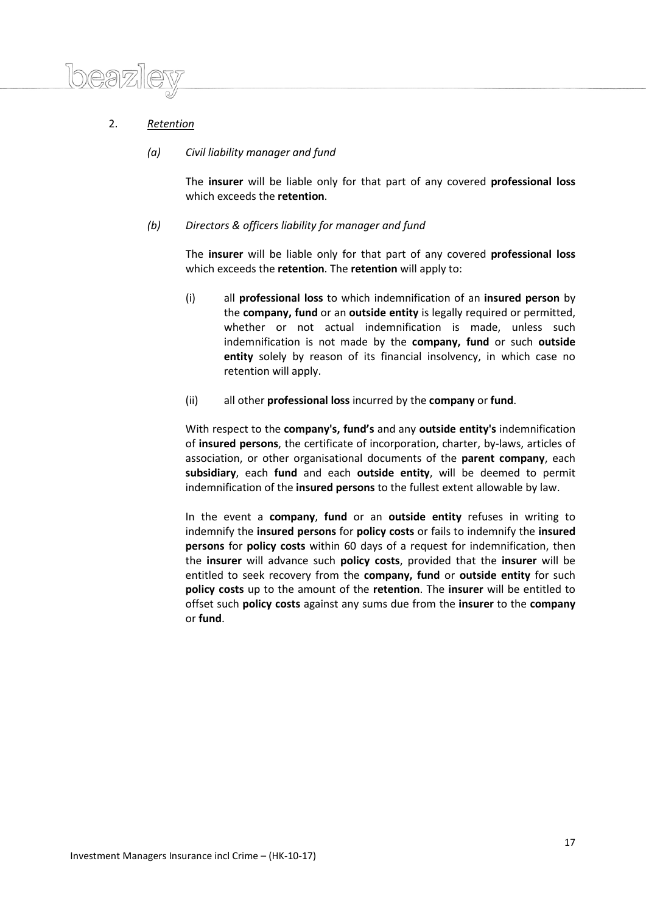

# 2. *Retention*

# *(a) Civil liability manager and fund*

The **insurer** will be liable only for that part of any covered **professional loss** which exceeds the **retention**.

# *(b) Directors & officers liability for manager and fund*

The **insurer** will be liable only for that part of any covered **professional loss** which exceeds the **retention**. The **retention** will apply to:

- (i) all **professional loss** to which indemnification of an **insured person** by the **company, fund** or an **outside entity** is legally required or permitted, whether or not actual indemnification is made, unless such indemnification is not made by the **company, fund** or such **outside entity** solely by reason of its financial insolvency, in which case no retention will apply.
- (ii) all other **professional loss** incurred by the **company** or **fund**.

With respect to the **company's, fund's** and any **outside entity's** indemnification of **insured persons**, the certificate of incorporation, charter, by-laws, articles of association, or other organisational documents of the **parent company**, each **subsidiary**, each **fund** and each **outside entity**, will be deemed to permit indemnification of the **insured persons** to the fullest extent allowable by law.

In the event a **company**, **fund** or an **outside entity** refuses in writing to indemnify the **insured persons** for **policy costs** or fails to indemnify the **insured persons** for **policy costs** within 60 days of a request for indemnification, then the **insurer** will advance such **policy costs**, provided that the **insurer** will be entitled to seek recovery from the **company, fund** or **outside entity** for such **policy costs** up to the amount of the **retention**. The **insurer** will be entitled to offset such **policy costs** against any sums due from the **insurer** to the **company** or **fund**.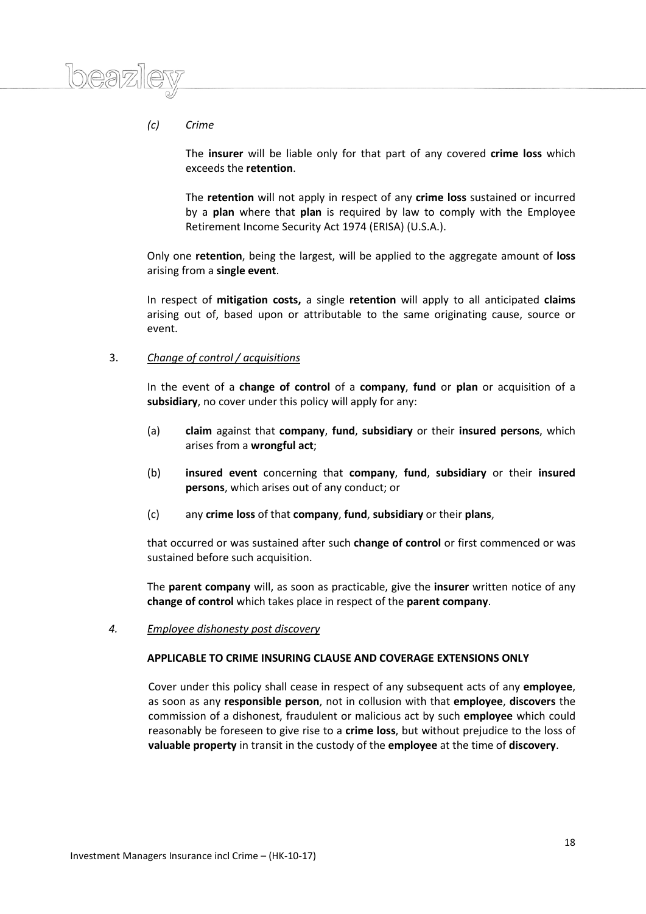# *(c) Crime*

The **insurer** will be liable only for that part of any covered **crime loss** which exceeds the **retention**.

The **retention** will not apply in respect of any **crime loss** sustained or incurred by a **plan** where that **plan** is required by law to comply with the Employee Retirement Income Security Act 1974 (ERISA) (U.S.A.).

Only one **retention**, being the largest, will be applied to the aggregate amount of **loss** arising from a **single event**.

In respect of **mitigation costs,** a single **retention** will apply to all anticipated **claims** arising out of, based upon or attributable to the same originating cause, source or event.

# 3. *Change of control / acquisitions*

In the event of a **change of control** of a **company**, **fund** or **plan** or acquisition of a **subsidiary**, no cover under this policy will apply for any:

- (a) **claim** against that **company**, **fund**, **subsidiary** or their **insured persons**, which arises from a **wrongful act**;
- (b) **insured event** concerning that **company**, **fund**, **subsidiary** or their **insured persons**, which arises out of any conduct; or
- (c) any **crime loss** of that **company**, **fund**, **subsidiary** or their **plans**,

that occurred or was sustained after such **change of control** or first commenced or was sustained before such acquisition.

The **parent company** will, as soon as practicable, give the **insurer** written notice of any **change of control** which takes place in respect of the **parent company**.

*4. Employee dishonesty post discovery*

#### **APPLICABLE TO CRIME INSURING CLAUSE AND COVERAGE EXTENSIONS ONLY**

Cover under this policy shall cease in respect of any subsequent acts of any **employee**, as soon as any **responsible person**, not in collusion with that **employee**, **discovers** the commission of a dishonest, fraudulent or malicious act by such **employee** which could reasonably be foreseen to give rise to a **crime loss**, but without prejudice to the loss of **valuable property** in transit in the custody of the **employee** at the time of **discovery**.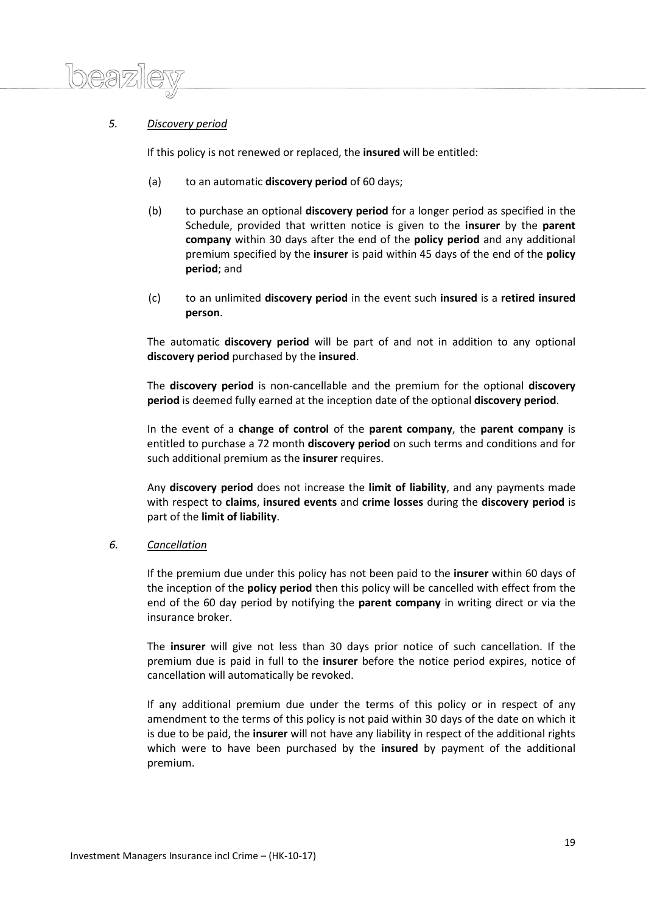# *5. Discovery period*

If this policy is not renewed or replaced, the **insured** will be entitled:

- (a) to an automatic **discovery period** of 60 days;
- (b) to purchase an optional **discovery period** for a longer period as specified in the Schedule, provided that written notice is given to the **insurer** by the **parent company** within 30 days after the end of the **policy period** and any additional premium specified by the **insurer** is paid within 45 days of the end of the **policy period**; and
- (c) to an unlimited **discovery period** in the event such **insured** is a **retired insured person**.

The automatic **discovery period** will be part of and not in addition to any optional **discovery period** purchased by the **insured**.

The **discovery period** is non-cancellable and the premium for the optional **discovery period** is deemed fully earned at the inception date of the optional **discovery period**.

In the event of a **change of control** of the **parent company**, the **parent company** is entitled to purchase a 72 month **discovery period** on such terms and conditions and for such additional premium as the **insurer** requires.

Any **discovery period** does not increase the **limit of liability**, and any payments made with respect to **claims**, **insured events** and **crime losses** during the **discovery period** is part of the **limit of liability**.

# *6. Cancellation*

If the premium due under this policy has not been paid to the **insurer** within 60 days of the inception of the **policy period** then this policy will be cancelled with effect from the end of the 60 day period by notifying the **parent company** in writing direct or via the insurance broker.

The **insurer** will give not less than 30 days prior notice of such cancellation. If the premium due is paid in full to the **insurer** before the notice period expires, notice of cancellation will automatically be revoked.

If any additional premium due under the terms of this policy or in respect of any amendment to the terms of this policy is not paid within 30 days of the date on which it is due to be paid, the **insurer** will not have any liability in respect of the additional rights which were to have been purchased by the **insured** by payment of the additional premium.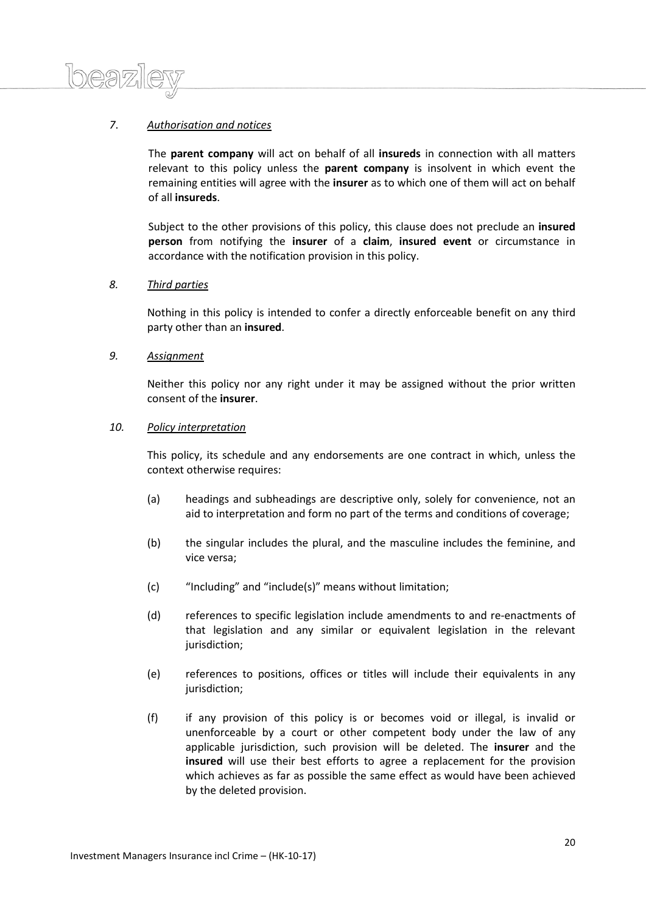# *7*. *Authorisation and notices*

 $\log 2$ 

The **parent company** will act on behalf of all **insureds** in connection with all matters relevant to this policy unless the **parent company** is insolvent in which event the remaining entities will agree with the **insurer** as to which one of them will act on behalf of all **insureds**.

Subject to the other provisions of this policy, this clause does not preclude an **insured person** from notifying the **insurer** of a **claim**, **insured event** or circumstance in accordance with the notification provision in this policy.

# *8. Third parties*

Nothing in this policy is intended to confer a directly enforceable benefit on any third party other than an **insured**.

# *9. Assignment*

Neither this policy nor any right under it may be assigned without the prior written consent of the **insurer**.

#### *10. Policy interpretation*

This policy, its schedule and any endorsements are one contract in which, unless the context otherwise requires:

- (a) headings and subheadings are descriptive only, solely for convenience, not an aid to interpretation and form no part of the terms and conditions of coverage;
- (b) the singular includes the plural, and the masculine includes the feminine, and vice versa;
- (c) "Including" and "include(s)" means without limitation;
- (d) references to specific legislation include amendments to and re-enactments of that legislation and any similar or equivalent legislation in the relevant jurisdiction;
- (e) references to positions, offices or titles will include their equivalents in any jurisdiction;
- (f) if any provision of this policy is or becomes void or illegal, is invalid or unenforceable by a court or other competent body under the law of any applicable jurisdiction, such provision will be deleted. The **insurer** and the **insured** will use their best efforts to agree a replacement for the provision which achieves as far as possible the same effect as would have been achieved by the deleted provision.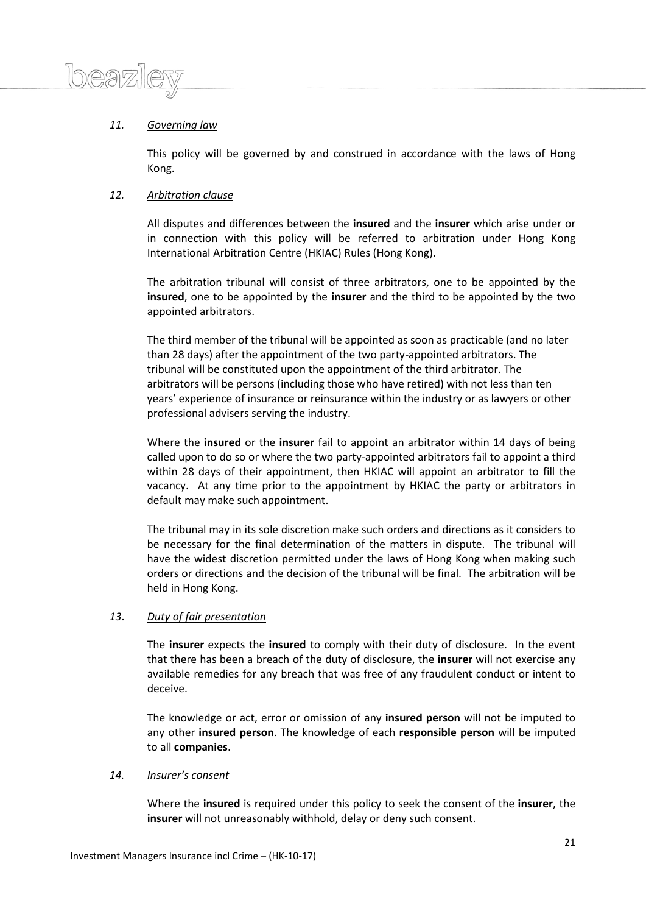

# *11. Governing law*

This policy will be governed by and construed in accordance with the laws of Hong Kong.

# *12. Arbitration clause*

All disputes and differences between the **insured** and the **insurer** which arise under or in connection with this policy will be referred to arbitration under Hong Kong International Arbitration Centre (HKIAC) Rules (Hong Kong).

The arbitration tribunal will consist of three arbitrators, one to be appointed by the **insured**, one to be appointed by the **insurer** and the third to be appointed by the two appointed arbitrators.

The third member of the tribunal will be appointed as soon as practicable (and no later than 28 days) after the appointment of the two party-appointed arbitrators. The tribunal will be constituted upon the appointment of the third arbitrator. The arbitrators will be persons (including those who have retired) with not less than ten years' experience of insurance or reinsurance within the industry or as lawyers or other professional advisers serving the industry.

Where the **insured** or the **insurer** fail to appoint an arbitrator within 14 days of being called upon to do so or where the two party-appointed arbitrators fail to appoint a third within 28 days of their appointment, then HKIAC will appoint an arbitrator to fill the vacancy. At any time prior to the appointment by HKIAC the party or arbitrators in default may make such appointment.

The tribunal may in its sole discretion make such orders and directions as it considers to be necessary for the final determination of the matters in dispute. The tribunal will have the widest discretion permitted under the laws of Hong Kong when making such orders or directions and the decision of the tribunal will be final. The arbitration will be held in Hong Kong.

# *13*. *Duty of fair presentation*

The **insurer** expects the **insured** to comply with their duty of disclosure. In the event that there has been a breach of the duty of disclosure, the **insurer** will not exercise any available remedies for any breach that was free of any fraudulent conduct or intent to deceive.

The knowledge or act, error or omission of any **insured person** will not be imputed to any other **insured person**. The knowledge of each **responsible person** will be imputed to all **companies**.

# *14. Insurer's consent*

Where the **insured** is required under this policy to seek the consent of the **insurer**, the **insurer** will not unreasonably withhold, delay or deny such consent.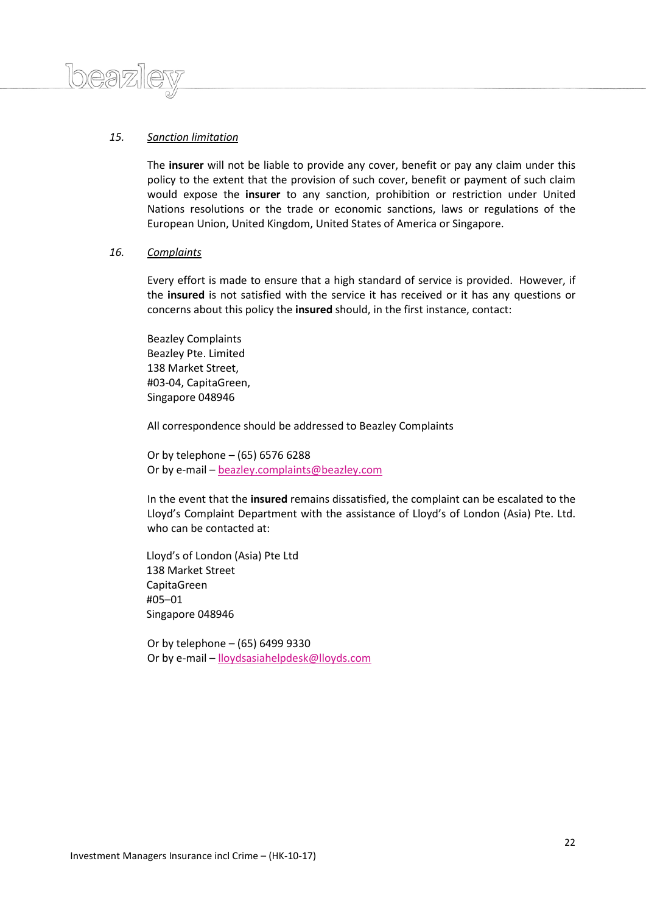# *15. Sanction limitation*

 $logn)$ 

The **insurer** will not be liable to provide any cover, benefit or pay any claim under this policy to the extent that the provision of such cover, benefit or payment of such claim would expose the **insurer** to any sanction, prohibition or restriction under United Nations resolutions or the trade or economic sanctions, laws or regulations of the European Union, United Kingdom, United States of America or Singapore.

#### *16. Complaints*

Every effort is made to ensure that a high standard of service is provided. However, if the **insured** is not satisfied with the service it has received or it has any questions or concerns about this policy the **insured** should, in the first instance, contact:

Beazley Complaints Beazley Pte. Limited 138 Market Street, #03-04, CapitaGreen, Singapore 048946

All correspondence should be addressed to Beazley Complaints

Or by telephone – (65) 6576 6288 Or by e-mail – [beazley.complaints@beazley.com](mailto:beazley.complaints@beazley.com)

In the event that the **insured** remains dissatisfied, the complaint can be escalated to the Lloyd's Complaint Department with the assistance of Lloyd's of London (Asia) Pte. Ltd. who can be contacted at:

Lloyd's of London (Asia) Pte Ltd 138 Market Street CapitaGreen #05–01 Singapore 048946

Or by telephone – (65) 6499 9330 Or by e-mail – [lloydsasiahelpdesk@lloyds.com](mailto:lloydsasiahelpdesk@lloyds.com)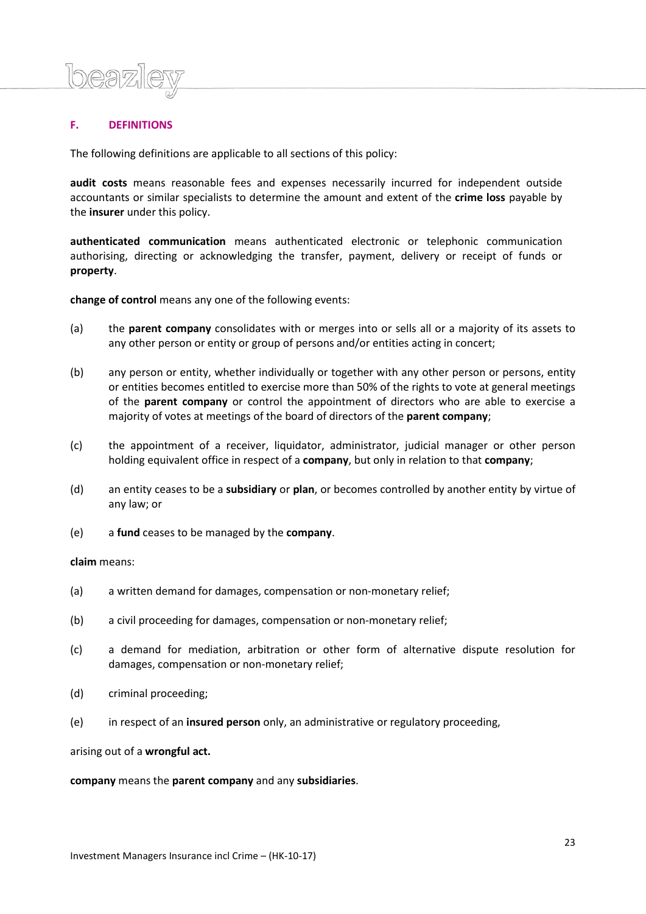# **F. DEFINITIONS**

The following definitions are applicable to all sections of this policy:

**audit costs** means reasonable fees and expenses necessarily incurred for independent outside accountants or similar specialists to determine the amount and extent of the **crime loss** payable by the **insurer** under this policy.

**authenticated communication** means authenticated electronic or telephonic communication authorising, directing or acknowledging the transfer, payment, delivery or receipt of funds or **property**.

**change of control** means any one of the following events:

- (a) the **parent company** consolidates with or merges into or sells all or a majority of its assets to any other person or entity or group of persons and/or entities acting in concert;
- (b) any person or entity, whether individually or together with any other person or persons, entity or entities becomes entitled to exercise more than 50% of the rights to vote at general meetings of the **parent company** or control the appointment of directors who are able to exercise a majority of votes at meetings of the board of directors of the **parent company**;
- (c) the appointment of a receiver, liquidator, administrator, judicial manager or other person holding equivalent office in respect of a **company**, but only in relation to that **company**;
- (d) an entity ceases to be a **subsidiary** or **plan**, or becomes controlled by another entity by virtue of any law; or
- (e) a **fund** ceases to be managed by the **company**.

#### **claim** means:

- (a) a written demand for damages, compensation or non-monetary relief;
- (b) a civil proceeding for damages, compensation or non-monetary relief;
- (c) a demand for mediation, arbitration or other form of alternative dispute resolution for damages, compensation or non-monetary relief;
- (d) criminal proceeding;
- (e) in respect of an **insured person** only, an administrative or regulatory proceeding,

arising out of a **wrongful act.**

**company** means the **parent company** and any **subsidiaries**.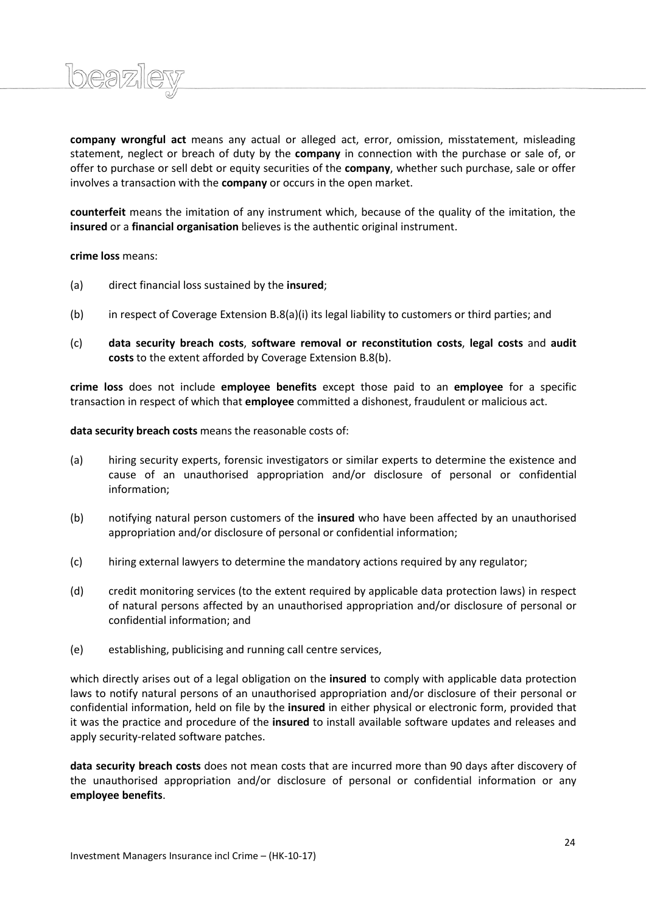

**company wrongful act** means any actual or alleged act, error, omission, misstatement, misleading statement, neglect or breach of duty by the **company** in connection with the purchase or sale of, or offer to purchase or sell debt or equity securities of the **company**, whether such purchase, sale or offer involves a transaction with the **company** or occurs in the open market.

**counterfeit** means the imitation of any instrument which, because of the quality of the imitation, the **insured** or a **financial organisation** believes is the authentic original instrument.

**crime loss** means:

- (a) direct financial loss sustained by the **insured**;
- (b) in respect of Coverage Extension B.8(a)(i) its legal liability to customers or third parties; and
- (c) **data security breach costs**, **software removal or reconstitution costs**, **legal costs** and **audit costs** to the extent afforded by Coverage Extension B.8(b).

**crime loss** does not include **employee benefits** except those paid to an **employee** for a specific transaction in respect of which that **employee** committed a dishonest, fraudulent or malicious act.

**data security breach costs** means the reasonable costs of:

- (a) hiring security experts, forensic investigators or similar experts to determine the existence and cause of an unauthorised appropriation and/or disclosure of personal or confidential information;
- (b) notifying natural person customers of the **insured** who have been affected by an unauthorised appropriation and/or disclosure of personal or confidential information;
- (c) hiring external lawyers to determine the mandatory actions required by any regulator;
- (d) credit monitoring services (to the extent required by applicable data protection laws) in respect of natural persons affected by an unauthorised appropriation and/or disclosure of personal or confidential information; and
- (e) establishing, publicising and running call centre services,

which directly arises out of a legal obligation on the **insured** to comply with applicable data protection laws to notify natural persons of an unauthorised appropriation and/or disclosure of their personal or confidential information, held on file by the **insured** in either physical or electronic form, provided that it was the practice and procedure of the **insured** to install available software updates and releases and apply security-related software patches.

**data security breach costs** does not mean costs that are incurred more than 90 days after discovery of the unauthorised appropriation and/or disclosure of personal or confidential information or any **employee benefits**.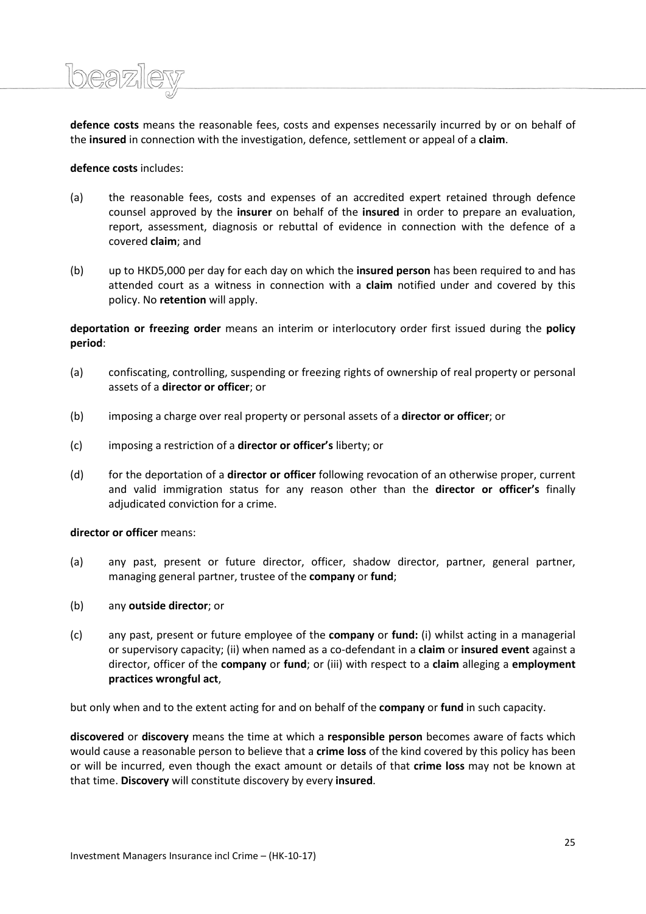**defence costs** means the reasonable fees, costs and expenses necessarily incurred by or on behalf of the **insured** in connection with the investigation, defence, settlement or appeal of a **claim**.

# **defence costs** includes:

*15eaz16* 

- (a) the reasonable fees, costs and expenses of an accredited expert retained through defence counsel approved by the **insurer** on behalf of the **insured** in order to prepare an evaluation, report, assessment, diagnosis or rebuttal of evidence in connection with the defence of a covered **claim**; and
- (b) up to HKD5,000 per day for each day on which the **insured person** has been required to and has attended court as a witness in connection with a **claim** notified under and covered by this policy. No **retention** will apply.

**deportation or freezing order** means an interim or interlocutory order first issued during the **policy period**:

- (a) confiscating, controlling, suspending or freezing rights of ownership of real property or personal assets of a **director or officer**; or
- (b) imposing a charge over real property or personal assets of a **director or officer**; or
- (c) imposing a restriction of a **director or officer's** liberty; or
- (d) for the deportation of a **director or officer** following revocation of an otherwise proper, current and valid immigration status for any reason other than the **director or officer's** finally adjudicated conviction for a crime.

# **director or officer** means:

- (a) any past, present or future director, officer, shadow director, partner, general partner, managing general partner, trustee of the **company** or **fund**;
- (b) any **outside director**; or
- (c) any past, present or future employee of the **company** or **fund:** (i) whilst acting in a managerial or supervisory capacity; (ii) when named as a co-defendant in a **claim** or **insured event** against a director, officer of the **company** or **fund**; or (iii) with respect to a **claim** alleging a **employment practices wrongful act**,

but only when and to the extent acting for and on behalf of the **company** or **fund** in such capacity.

**discovered** or **discovery** means the time at which a **responsible person** becomes aware of facts which would cause a reasonable person to believe that a **crime loss** of the kind covered by this policy has been or will be incurred, even though the exact amount or details of that **crime loss** may not be known at that time. **Discovery** will constitute discovery by every **insured**.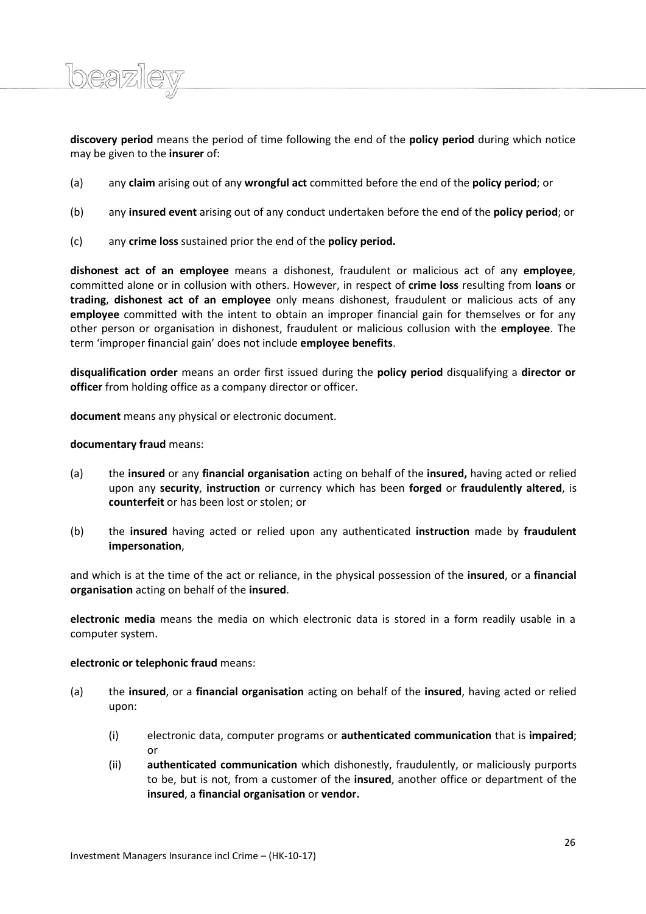**discovery period** means the period of time following the end of the **policy period** during which notice may be given to the **insurer** of:

- (a) any **claim** arising out of any **wrongful act** committed before the end of the **policy period**; or
- (b) any **insured event** arising out of any conduct undertaken before the end of the **policy period**; or
- (c) any **crime loss** sustained prior the end of the **policy period.**

**dishonest act of an employee** means a dishonest, fraudulent or malicious act of any **employee**, committed alone or in collusion with others. However, in respect of **crime loss** resulting from **loans** or **trading**, **dishonest act of an employee** only means dishonest, fraudulent or malicious acts of any **employee** committed with the intent to obtain an improper financial gain for themselves or for any other person or organisation in dishonest, fraudulent or malicious collusion with the **employee**. The term 'improper financial gain' does not include **employee benefits**.

**disqualification order** means an order first issued during the **policy period** disqualifying a **director or officer** from holding office as a company director or officer.

**document** means any physical or electronic document.

# **documentary fraud** means:

 $l$ 

- (a) the **insured** or any **financial organisation** acting on behalf of the **insured,** having acted or relied upon any **security**, **instruction** or currency which has been **forged** or **fraudulently altered**, is **counterfeit** or has been lost or stolen; or
- (b) the **insured** having acted or relied upon any authenticated **instruction** made by **fraudulent impersonation**,

and which is at the time of the act or reliance, in the physical possession of the **insured**, or a **financial organisation** acting on behalf of the **insured**.

**electronic media** means the media on which electronic data is stored in a form readily usable in a computer system.

# **electronic or telephonic fraud** means:

- (a) the **insured**, or a **financial organisation** acting on behalf of the **insured**, having acted or relied upon:
	- (i) electronic data, computer programs or **authenticated communication** that is **impaired**; or
	- (ii) **authenticated communication** which dishonestly, fraudulently, or maliciously purports to be, but is not, from a customer of the **insured**, another office or department of the **insured**, a **financial organisation** or **vendor.**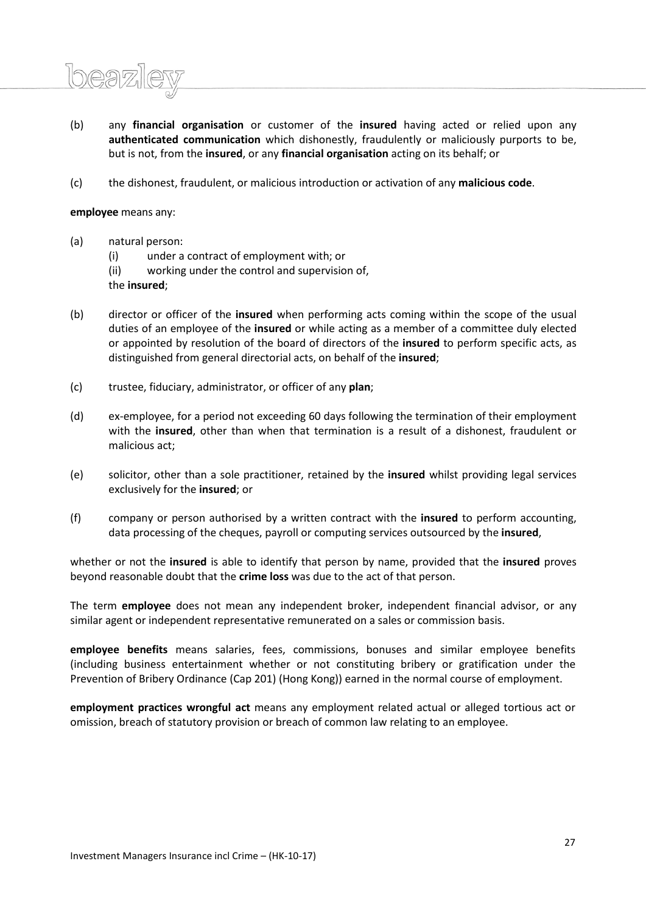- (b) any **financial organisation** or customer of the **insured** having acted or relied upon any **authenticated communication** which dishonestly, fraudulently or maliciously purports to be, but is not, from the **insured**, or any **financial organisation** acting on its behalf; or
- (c) the dishonest, fraudulent, or malicious introduction or activation of any **malicious code**.

# **employee** means any:

- (a) natural person:
	- (i) under a contract of employment with; or
	- (ii) working under the control and supervision of,

the **insured**;

- (b) director or officer of the **insured** when performing acts coming within the scope of the usual duties of an employee of the **insured** or while acting as a member of a committee duly elected or appointed by resolution of the board of directors of the **insured** to perform specific acts, as distinguished from general directorial acts, on behalf of the **insured**;
- (c) trustee, fiduciary, administrator, or officer of any **plan**;
- (d) ex-employee, for a period not exceeding 60 days following the termination of their employment with the **insured**, other than when that termination is a result of a dishonest, fraudulent or malicious act;
- (e) solicitor, other than a sole practitioner, retained by the **insured** whilst providing legal services exclusively for the **insured**; or
- (f) company or person authorised by a written contract with the **insured** to perform accounting, data processing of the cheques, payroll or computing services outsourced by the **insured**,

whether or not the **insured** is able to identify that person by name, provided that the **insured** proves beyond reasonable doubt that the **crime loss** was due to the act of that person.

The term **employee** does not mean any independent broker, independent financial advisor, or any similar agent or independent representative remunerated on a sales or commission basis.

**employee benefits** means salaries, fees, commissions, bonuses and similar employee benefits (including business entertainment whether or not constituting bribery or gratification under the Prevention of Bribery Ordinance (Cap 201) (Hong Kong)) earned in the normal course of employment.

**employment practices wrongful act** means any employment related actual or alleged tortious act or omission, breach of statutory provision or breach of common law relating to an employee.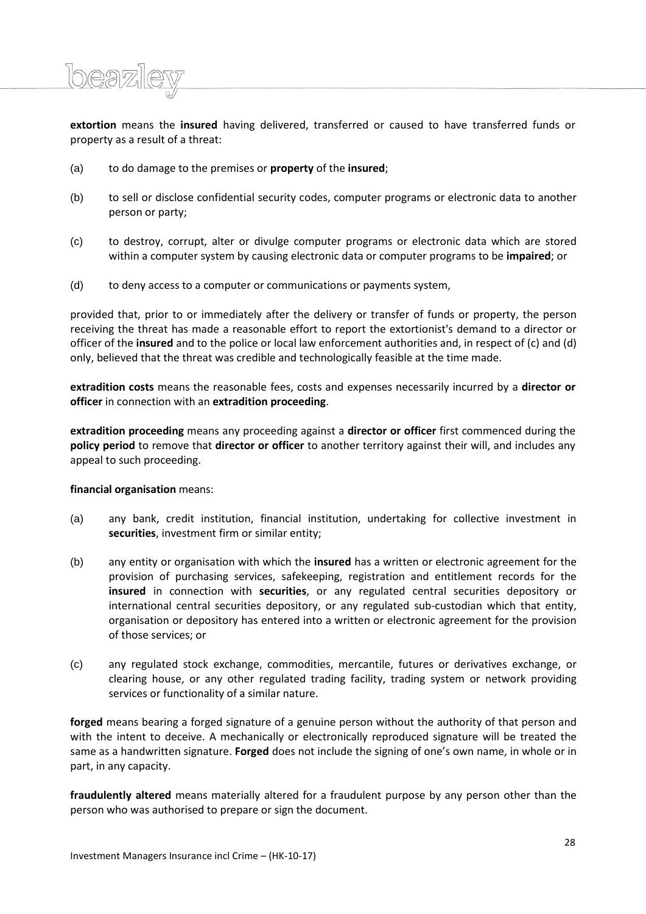**extortion** means the **insured** having delivered, transferred or caused to have transferred funds or property as a result of a threat:

- (a) to do damage to the premises or **property** of the **insured**;
- (b) to sell or disclose confidential security codes, computer programs or electronic data to another person or party;
- (c) to destroy, corrupt, alter or divulge computer programs or electronic data which are stored within a computer system by causing electronic data or computer programs to be **impaired**; or
- (d) to deny access to a computer or communications or payments system,

provided that, prior to or immediately after the delivery or transfer of funds or property, the person receiving the threat has made a reasonable effort to report the extortionist's demand to a director or officer of the **insured** and to the police or local law enforcement authorities and, in respect of (c) and (d) only, believed that the threat was credible and technologically feasible at the time made.

**extradition costs** means the reasonable fees, costs and expenses necessarily incurred by a **director or officer** in connection with an **extradition proceeding**.

**extradition proceeding** means any proceeding against a **director or officer** first commenced during the **policy period** to remove that **director or officer** to another territory against their will, and includes any appeal to such proceeding.

# **financial organisation** means:

 $l$ 

- (a) any bank, credit institution, financial institution, undertaking for collective investment in **securities**, investment firm or similar entity;
- (b) any entity or organisation with which the **insured** has a written or electronic agreement for the provision of purchasing services, safekeeping, registration and entitlement records for the **insured** in connection with **securities**, or any regulated central securities depository or international central securities depository, or any regulated sub-custodian which that entity, organisation or depository has entered into a written or electronic agreement for the provision of those services; or
- (c) any regulated stock exchange, commodities, mercantile, futures or derivatives exchange, or clearing house, or any other regulated trading facility, trading system or network providing services or functionality of a similar nature.

**forged** means bearing a forged signature of a genuine person without the authority of that person and with the intent to deceive. A mechanically or electronically reproduced signature will be treated the same as a handwritten signature. **Forged** does not include the signing of one's own name, in whole or in part, in any capacity.

**fraudulently altered** means materially altered for a fraudulent purpose by any person other than the person who was authorised to prepare or sign the document.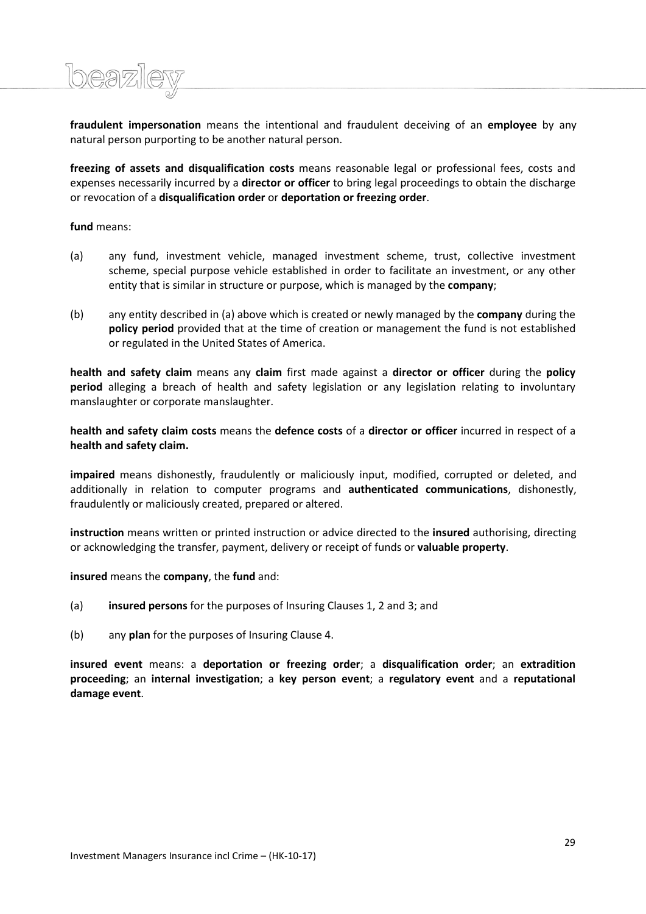**fraudulent impersonation** means the intentional and fraudulent deceiving of an **employee** by any natural person purporting to be another natural person.

**freezing of assets and disqualification costs** means reasonable legal or professional fees, costs and expenses necessarily incurred by a **director or officer** to bring legal proceedings to obtain the discharge or revocation of a **disqualification order** or **deportation or freezing order**.

**fund** means:

- (a) any fund, investment vehicle, managed investment scheme, trust, collective investment scheme, special purpose vehicle established in order to facilitate an investment, or any other entity that is similar in structure or purpose, which is managed by the **company**;
- (b) any entity described in (a) above which is created or newly managed by the **company** during the **policy period** provided that at the time of creation or management the fund is not established or regulated in the United States of America.

**health and safety claim** means any **claim** first made against a **director or officer** during the **policy period** alleging a breach of health and safety legislation or any legislation relating to involuntary manslaughter or corporate manslaughter.

**health and safety claim costs** means the **defence costs** of a **director or officer** incurred in respect of a **health and safety claim.**

**impaired** means dishonestly, fraudulently or maliciously input, modified, corrupted or deleted, and additionally in relation to computer programs and **authenticated communications**, dishonestly, fraudulently or maliciously created, prepared or altered.

**instruction** means written or printed instruction or advice directed to the **insured** authorising, directing or acknowledging the transfer, payment, delivery or receipt of funds or **valuable property**.

**insured** means the **company**, the **fund** and:

- (a) **insured persons** for the purposes of Insuring Clauses 1, 2 and 3; and
- (b) any **plan** for the purposes of Insuring Clause 4.

**insured event** means: a **deportation or freezing order**; a **disqualification order**; an **extradition proceeding**; an **internal investigation**; a **key person event**; a **regulatory event** and a **reputational damage event**.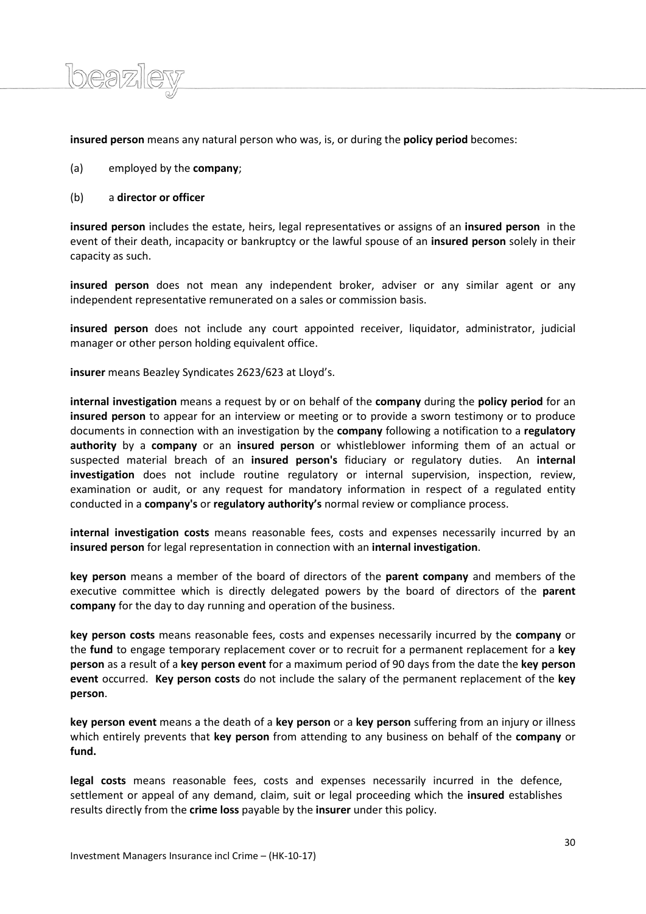**insured person** means any natural person who was, is, or during the **policy period** becomes:

- (a) employed by the **company**;
- (b) a **director or officer**

beazi

**insured person** includes the estate, heirs, legal representatives or assigns of an **insured person** in the event of their death, incapacity or bankruptcy or the lawful spouse of an **insured person** solely in their capacity as such.

**insured person** does not mean any independent broker, adviser or any similar agent or any independent representative remunerated on a sales or commission basis.

**insured person** does not include any court appointed receiver, liquidator, administrator, judicial manager or other person holding equivalent office.

**insurer** means Beazley Syndicates 2623/623 at Lloyd's.

**internal investigation** means a request by or on behalf of the **company** during the **policy period** for an **insured person** to appear for an interview or meeting or to provide a sworn testimony or to produce documents in connection with an investigation by the **company** following a notification to a **regulatory authority** by a **company** or an **insured person** or whistleblower informing them of an actual or suspected material breach of an **insured person's** fiduciary or regulatory duties. An **internal investigation** does not include routine regulatory or internal supervision, inspection, review, examination or audit, or any request for mandatory information in respect of a regulated entity conducted in a **company's** or **regulatory authority's** normal review or compliance process.

**internal investigation costs** means reasonable fees, costs and expenses necessarily incurred by an **insured person** for legal representation in connection with an **internal investigation**.

**key person** means a member of the board of directors of the **parent company** and members of the executive committee which is directly delegated powers by the board of directors of the **parent company** for the day to day running and operation of the business.

**key person costs** means reasonable fees, costs and expenses necessarily incurred by the **company** or the **fund** to engage temporary replacement cover or to recruit for a permanent replacement for a **key person** as a result of a **key person event** for a maximum period of 90 days from the date the **key person event** occurred. **Key person costs** do not include the salary of the permanent replacement of the **key person**.

**key person event** means a the death of a **key person** or a **key person** suffering from an injury or illness which entirely prevents that **key person** from attending to any business on behalf of the **company** or **fund.** 

**legal costs** means reasonable fees, costs and expenses necessarily incurred in the defence, settlement or appeal of any demand, claim, suit or legal proceeding which the **insured** establishes results directly from the **crime loss** payable by the **insurer** under this policy.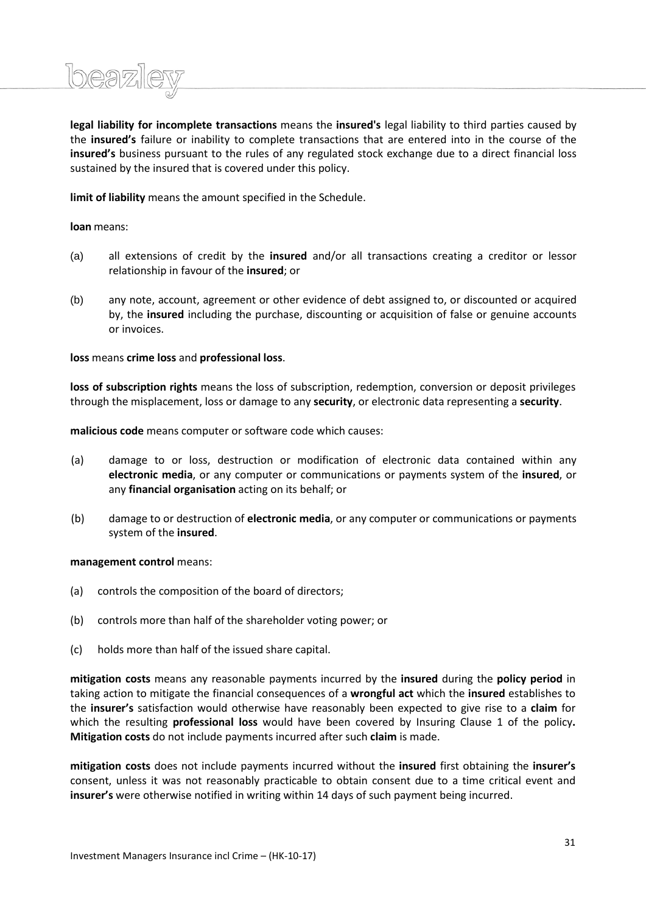

**legal liability for incomplete transactions** means the **insured's** legal liability to third parties caused by the **insured's** failure or inability to complete transactions that are entered into in the course of the **insured's** business pursuant to the rules of any regulated stock exchange due to a direct financial loss sustained by the insured that is covered under this policy.

**limit of liability** means the amount specified in the Schedule.

**loan** means:

- (a) all extensions of credit by the **insured** and/or all transactions creating a creditor or lessor relationship in favour of the **insured**; or
- (b) any note, account, agreement or other evidence of debt assigned to, or discounted or acquired by, the **insured** including the purchase, discounting or acquisition of false or genuine accounts or invoices.

**loss** means **crime loss** and **professional loss**.

**loss of subscription rights** means the loss of subscription, redemption, conversion or deposit privileges through the misplacement, loss or damage to any **security**, or electronic data representing a **security**.

**malicious code** means computer or software code which causes:

- (a) damage to or loss, destruction or modification of electronic data contained within any **electronic media**, or any computer or communications or payments system of the **insured**, or any **financial organisation** acting on its behalf; or
- (b) damage to or destruction of **electronic media**, or any computer or communications or payments system of the **insured**.

# **management control** means:

- (a) controls the composition of the board of directors;
- (b) controls more than half of the shareholder voting power; or
- (c) holds more than half of the issued share capital.

**mitigation costs** means any reasonable payments incurred by the **insured** during the **policy period** in taking action to mitigate the financial consequences of a **wrongful act** which the **insured** establishes to the **insurer's** satisfaction would otherwise have reasonably been expected to give rise to a **claim** for which the resulting **professional loss** would have been covered by Insuring Clause 1 of the policy**. Mitigation costs** do not include payments incurred after such **claim** is made.

**mitigation costs** does not include payments incurred without the **insured** first obtaining the **insurer's** consent, unless it was not reasonably practicable to obtain consent due to a time critical event and **insurer's** were otherwise notified in writing within 14 days of such payment being incurred.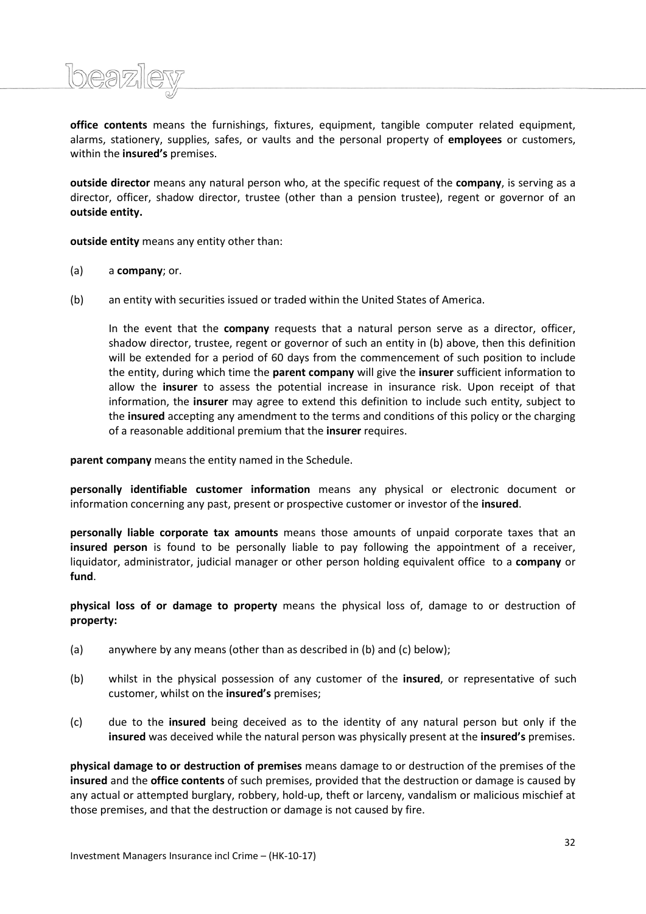**office contents** means the furnishings, fixtures, equipment, tangible computer related equipment, alarms, stationery, supplies, safes, or vaults and the personal property of **employees** or customers, within the **insured's** premises.

**outside director** means any natural person who, at the specific request of the **company**, is serving as a director, officer, shadow director, trustee (other than a pension trustee), regent or governor of an **outside entity.**

**outside entity** means any entity other than:

(a) a **company**; or.

<u> Ibeazil</u>

(b) an entity with securities issued or traded within the United States of America.

In the event that the **company** requests that a natural person serve as a director, officer, shadow director, trustee, regent or governor of such an entity in (b) above, then this definition will be extended for a period of 60 days from the commencement of such position to include the entity, during which time the **parent company** will give the **insurer** sufficient information to allow the **insurer** to assess the potential increase in insurance risk. Upon receipt of that information, the **insurer** may agree to extend this definition to include such entity, subject to the **insured** accepting any amendment to the terms and conditions of this policy or the charging of a reasonable additional premium that the **insurer** requires.

**parent company** means the entity named in the Schedule.

**personally identifiable customer information** means any physical or electronic document or information concerning any past, present or prospective customer or investor of the **insured**.

**personally liable corporate tax amounts** means those amounts of unpaid corporate taxes that an **insured person** is found to be personally liable to pay following the appointment of a receiver, liquidator, administrator, judicial manager or other person holding equivalent office to a **company** or **fund**.

**physical loss of or damage to property** means the physical loss of, damage to or destruction of **property:**

- (a) anywhere by any means (other than as described in (b) and (c) below);
- (b) whilst in the physical possession of any customer of the **insured**, or representative of such customer, whilst on the **insured's** premises;
- (c) due to the **insured** being deceived as to the identity of any natural person but only if the **insured** was deceived while the natural person was physically present at the **insured's** premises.

**physical damage to or destruction of premises** means damage to or destruction of the premises of the **insured** and the **office contents** of such premises, provided that the destruction or damage is caused by any actual or attempted burglary, robbery, hold-up, theft or larceny, vandalism or malicious mischief at those premises, and that the destruction or damage is not caused by fire.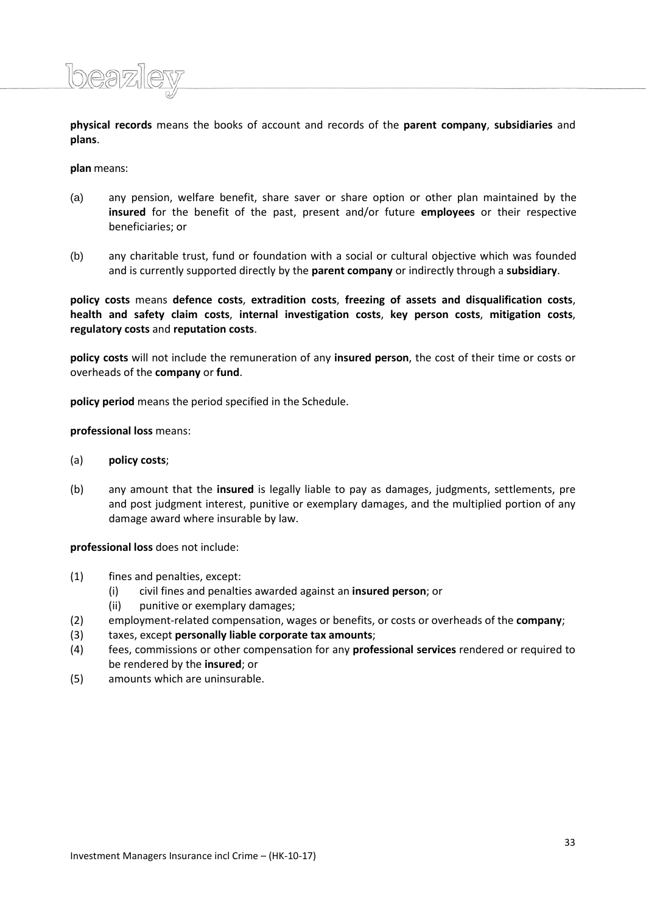**physical records** means the books of account and records of the **parent company**, **subsidiaries** and **plans**.

**plan** means:

 $logn)$ 

- (a) any pension, welfare benefit, share saver or share option or other plan maintained by the **insured** for the benefit of the past, present and/or future **employees** or their respective beneficiaries; or
- (b) any charitable trust, fund or foundation with a social or cultural objective which was founded and is currently supported directly by the **parent company** or indirectly through a **subsidiary**.

**policy costs** means **defence costs**, **extradition costs**, **freezing of assets and disqualification costs**, **health and safety claim costs**, **internal investigation costs**, **key person costs**, **mitigation costs**, **regulatory costs** and **reputation costs**.

**policy costs** will not include the remuneration of any **insured person**, the cost of their time or costs or overheads of the **company** or **fund**.

**policy period** means the period specified in the Schedule.

**professional loss** means:

- (a) **policy costs**;
- (b) any amount that the **insured** is legally liable to pay as damages, judgments, settlements, pre and post judgment interest, punitive or exemplary damages, and the multiplied portion of any damage award where insurable by law.

**professional loss** does not include:

- (1) fines and penalties, except:
	- (i) civil fines and penalties awarded against an **insured person**; or
	- (ii) punitive or exemplary damages;
- (2) employment-related compensation, wages or benefits, or costs or overheads of the **company**;
- (3) taxes, except **personally liable corporate tax amounts**;
- (4) fees, commissions or other compensation for any **professional services** rendered or required to be rendered by the **insured**; or
- (5) amounts which are uninsurable.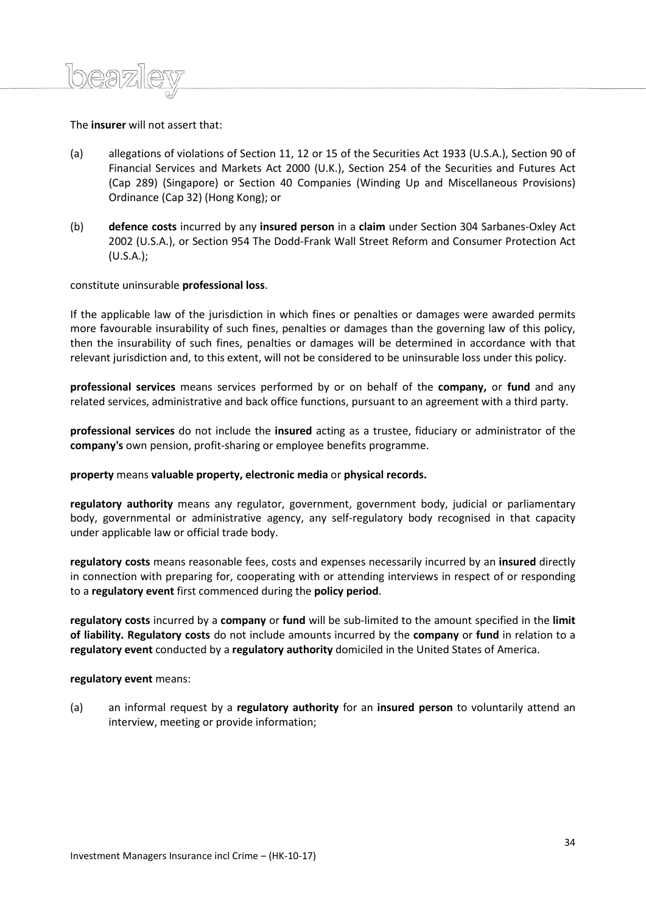# The **insurer** will not assert that:

- (a) allegations of violations of Section 11, 12 or 15 of the Securities Act 1933 (U.S.A.), Section 90 of Financial Services and Markets Act 2000 (U.K.), Section 254 of the Securities and Futures Act (Cap 289) (Singapore) or Section 40 Companies (Winding Up and Miscellaneous Provisions) Ordinance (Cap 32) (Hong Kong); or
- (b) **defence costs** incurred by any **insured person** in a **claim** under Section 304 Sarbanes-Oxley Act 2002 (U.S.A.), or Section 954 The Dodd-Frank Wall Street Reform and Consumer Protection Act (U.S.A.);

# constitute uninsurable **professional loss**.

If the applicable law of the jurisdiction in which fines or penalties or damages were awarded permits more favourable insurability of such fines, penalties or damages than the governing law of this policy, then the insurability of such fines, penalties or damages will be determined in accordance with that relevant jurisdiction and, to this extent, will not be considered to be uninsurable loss under this policy.

**professional services** means services performed by or on behalf of the **company,** or **fund** and any related services, administrative and back office functions, pursuant to an agreement with a third party.

**professional services** do not include the **insured** acting as a trustee, fiduciary or administrator of the **company's** own pension, profit-sharing or employee benefits programme.

# **property** means **valuable property, electronic media** or **physical records.**

**regulatory authority** means any regulator, government, government body, judicial or parliamentary body, governmental or administrative agency, any self-regulatory body recognised in that capacity under applicable law or official trade body.

**regulatory costs** means reasonable fees, costs and expenses necessarily incurred by an **insured** directly in connection with preparing for, cooperating with or attending interviews in respect of or responding to a **regulatory event** first commenced during the **policy period**.

**regulatory costs** incurred by a **company** or **fund** will be sub-limited to the amount specified in the **limit of liability. Regulatory costs** do not include amounts incurred by the **company** or **fund** in relation to a **regulatory event** conducted by a **regulatory authority** domiciled in the United States of America.

**regulatory event** means:

(a) an informal request by a **regulatory authority** for an **insured person** to voluntarily attend an interview, meeting or provide information;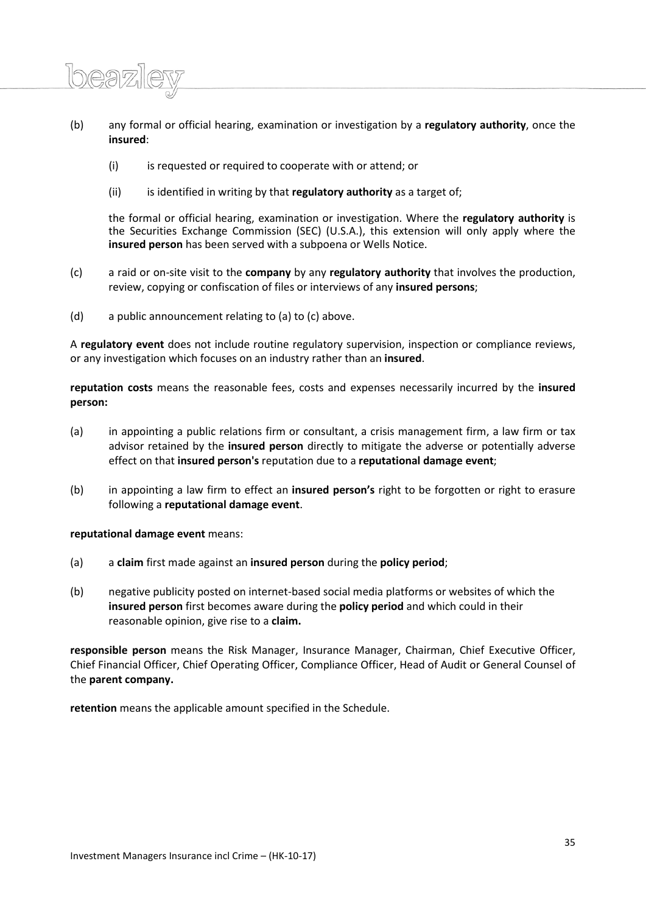- (b) any formal or official hearing, examination or investigation by a **regulatory authority**, once the **insured**:
	- (i) is requested or required to cooperate with or attend; or
	- (ii) is identified in writing by that **regulatory authority** as a target of;

the formal or official hearing, examination or investigation. Where the **regulatory authority** is the Securities Exchange Commission (SEC) (U.S.A.), this extension will only apply where the **insured person** has been served with a subpoena or Wells Notice.

- (c) a raid or on-site visit to the **company** by any **regulatory authority** that involves the production, review, copying or confiscation of files or interviews of any **insured persons**;
- (d) a public announcement relating to (a) to (c) above.

A **regulatory event** does not include routine regulatory supervision, inspection or compliance reviews, or any investigation which focuses on an industry rather than an **insured**.

**reputation costs** means the reasonable fees, costs and expenses necessarily incurred by the **insured person:**

- (a) in appointing a public relations firm or consultant, a crisis management firm, a law firm or tax advisor retained by the **insured person** directly to mitigate the adverse or potentially adverse effect on that **insured person's** reputation due to a **reputational damage event**;
- (b) in appointing a law firm to effect an **insured person's** right to be forgotten or right to erasure following a **reputational damage event**.

**reputational damage event** means:

 $\log 2$ 

- (a) a **claim** first made against an **insured person** during the **policy period**;
- (b) negative publicity posted on internet-based social media platforms or websites of which the **insured person** first becomes aware during the **policy period** and which could in their reasonable opinion, give rise to a **claim.**

**responsible person** means the Risk Manager, Insurance Manager, Chairman, Chief Executive Officer, Chief Financial Officer, Chief Operating Officer, Compliance Officer, Head of Audit or General Counsel of the **parent company.**

**retention** means the applicable amount specified in the Schedule.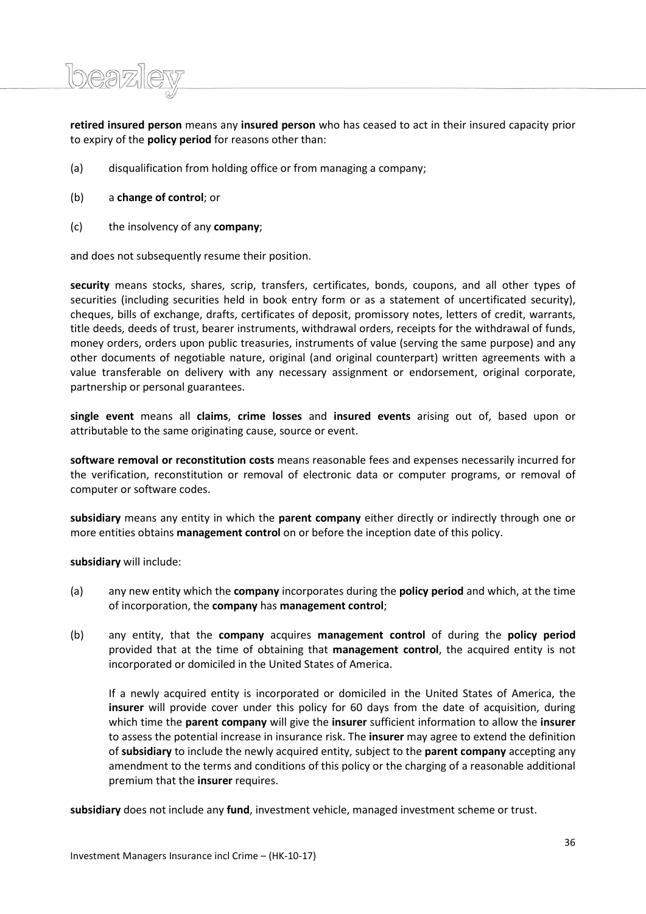**retired insured person** means any **insured person** who has ceased to act in their insured capacity prior to expiry of the **policy period** for reasons other than:

- (a) disqualification from holding office or from managing a company;
- (b) a **change of control**; or

beazi

(c) the insolvency of any **company**;

and does not subsequently resume their position.

**security** means stocks, shares, scrip, transfers, certificates, bonds, coupons, and all other types of securities (including securities held in book entry form or as a statement of uncertificated security), cheques, bills of exchange, drafts, certificates of deposit, promissory notes, letters of credit, warrants, title deeds, deeds of trust, bearer instruments, withdrawal orders, receipts for the withdrawal of funds, money orders, orders upon public treasuries, instruments of value (serving the same purpose) and any other documents of negotiable nature, original (and original counterpart) written agreements with a value transferable on delivery with any necessary assignment or endorsement, original corporate, partnership or personal guarantees.

**single event** means all **claims**, **crime losses** and **insured events** arising out of, based upon or attributable to the same originating cause, source or event.

**software removal or reconstitution costs** means reasonable fees and expenses necessarily incurred for the verification, reconstitution or removal of electronic data or computer programs, or removal of computer or software codes.

**subsidiary** means any entity in which the **parent company** either directly or indirectly through one or more entities obtains **management control** on or before the inception date of this policy.

**subsidiary** will include:

- (a) any new entity which the **company** incorporates during the **policy period** and which, at the time of incorporation, the **company** has **management control**;
- (b) any entity, that the **company** acquires **management control** of during the **policy period**  provided that at the time of obtaining that **management control**, the acquired entity is not incorporated or domiciled in the United States of America.

If a newly acquired entity is incorporated or domiciled in the United States of America, the **insurer** will provide cover under this policy for 60 days from the date of acquisition, during which time the **parent company** will give the **insurer** sufficient information to allow the **insurer** to assess the potential increase in insurance risk. The **insurer** may agree to extend the definition of **subsidiary** to include the newly acquired entity, subject to the **parent company** accepting any amendment to the terms and conditions of this policy or the charging of a reasonable additional premium that the **insurer** requires.

**subsidiary** does not include any **fund**, investment vehicle, managed investment scheme or trust.